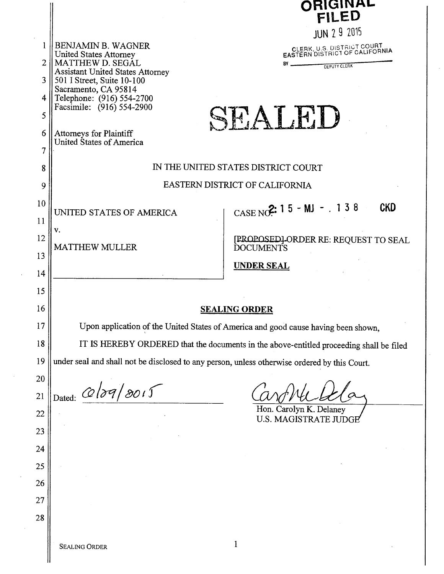| ORIGINAL<br><b>FILED</b> |  |
|--------------------------|--|
| <b>JUN 2 9 2015</b>      |  |

|        |                                                                                              | <b>JUN 2 9 2015</b>                                                                     |  |  |  |  |  |  |
|--------|----------------------------------------------------------------------------------------------|-----------------------------------------------------------------------------------------|--|--|--|--|--|--|
| 1      | <b>BENJAMIN B. WAGNER</b><br><b>United States Attorney</b>                                   | CLERK, U.S. DISTRICT COURT<br>EASTERN DISTRICT OF CALIFORNIA                            |  |  |  |  |  |  |
| 2      | MATTHEW D. SEGAL<br><b>Assistant United States Attorney</b>                                  | BY __<br><b>DEPUTY CLERK</b>                                                            |  |  |  |  |  |  |
| 3      | 501 I Street, Suite 10-100<br>Sacramento, CA 95814                                           |                                                                                         |  |  |  |  |  |  |
| 4<br>5 | Telephone: (916) 554-2700<br>Facsimile: (916) 554-2900                                       | SEALED                                                                                  |  |  |  |  |  |  |
| 6      | Attorneys for Plaintiff                                                                      |                                                                                         |  |  |  |  |  |  |
| 7      | United States of America                                                                     |                                                                                         |  |  |  |  |  |  |
| 8      | IN THE UNITED STATES DISTRICT COURT                                                          |                                                                                         |  |  |  |  |  |  |
| 9      | EASTERN DISTRICT OF CALIFORNIA                                                               |                                                                                         |  |  |  |  |  |  |
| 10     |                                                                                              | CASE NO $\frac{2}{3}$ : 15 - MJ - . 138<br><b>CKD</b>                                   |  |  |  |  |  |  |
| 11     | UNITED STATES OF AMERICA                                                                     |                                                                                         |  |  |  |  |  |  |
| 12     | V.                                                                                           | [PROPOSED] ORDER RE: REQUEST TO SEAL                                                    |  |  |  |  |  |  |
| 13     | <b>MATTHEW MULLER</b>                                                                        | <b>DOCUMENTS</b>                                                                        |  |  |  |  |  |  |
| 14     |                                                                                              | <b>UNDER SEAL</b>                                                                       |  |  |  |  |  |  |
| 15     |                                                                                              |                                                                                         |  |  |  |  |  |  |
| 16     |                                                                                              | <b>SEALING ORDER</b>                                                                    |  |  |  |  |  |  |
| 17     |                                                                                              | Upon application of the United States of America and good cause having been shown,      |  |  |  |  |  |  |
| 18     |                                                                                              | IT IS HEREBY ORDERED that the documents in the above-entitled proceeding shall be filed |  |  |  |  |  |  |
| 19     | under seal and shall not be disclosed to any person, unless otherwise ordered by this Court. |                                                                                         |  |  |  |  |  |  |
| 20     |                                                                                              |                                                                                         |  |  |  |  |  |  |
| 21     | Dated: $\omega$   29   2015                                                                  |                                                                                         |  |  |  |  |  |  |
| 22     |                                                                                              | Hon. Carolyn K. Delaney<br>U.S. MAGISTRATE JUDGE                                        |  |  |  |  |  |  |
| 23     |                                                                                              |                                                                                         |  |  |  |  |  |  |
| 24     |                                                                                              |                                                                                         |  |  |  |  |  |  |
| 25     |                                                                                              |                                                                                         |  |  |  |  |  |  |
| 26     |                                                                                              |                                                                                         |  |  |  |  |  |  |
|        |                                                                                              |                                                                                         |  |  |  |  |  |  |
| 27     |                                                                                              |                                                                                         |  |  |  |  |  |  |
| 28     |                                                                                              |                                                                                         |  |  |  |  |  |  |

I

 $\parallel$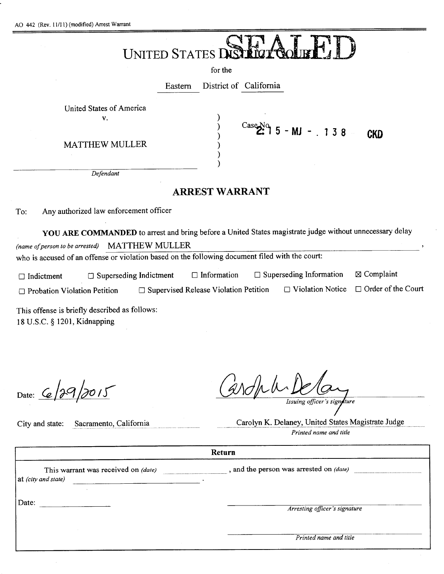AO 442 (Rev. 11/11) (modified) Arrest Warrant

| UNITED STATES DISTRICT COURT ! |  |  |
|--------------------------------|--|--|
|                                |  |  |

for the

Eastern District of California

 $\mathcal{E}$  $\mathcal{E}$ 

United States of America

v.

MATTHEW MULLER

**Defendant** 

# ARREST WARRANT

To: Any authorized law enforcement officer

YOU ARE COMMANDED to arrest and bring before a United States magistrate judge without unnecessary delay  $(name of person to be arrested)$   $MATTHEW MULTLER$ who is accused of an offense or violation based on the following document filed with the court:

 $\Box$  Indictment  $\Box$  Superseding Indictment  $\Box$  Information  $\Box$  Superseding Information  $\boxtimes$  Complaint

 $\Box$  Probation Violation Petition  $\Box$  Supervised Release Violation Petition  $\Box$  Violation Notice  $\Box$  Order of the Court

This offense is briefly described as follows: <sup>18</sup>U.S.C. \$ 1201, Kidnapping

Date: 6/29/2015

City and state: Sacramento, California

ardphil Issuing officer's signature

Carolyn K. Delaney, United States Magistrate Judge

15 - MJ - 138 CKD

Printed name and title

| Return                                                     |                                         |  |  |
|------------------------------------------------------------|-----------------------------------------|--|--|
| This warrant was received on (date)<br>at (city and state) | , and the person was arrested on (date) |  |  |
| Date:                                                      | Arresting officer's signature           |  |  |
|                                                            | Printed name and title                  |  |  |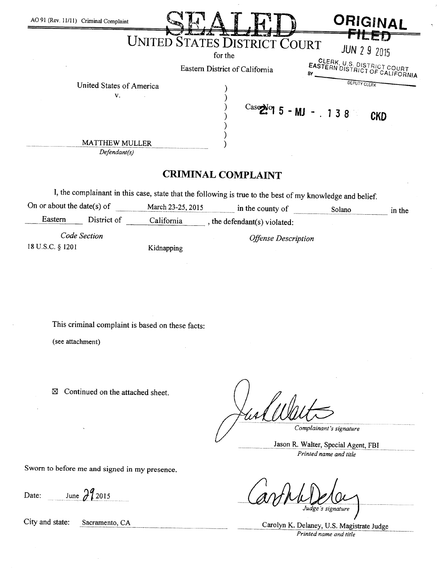|                            | AO 91 (Rev. 11/11) Criminal Complaint |                                                  |                                                                                                           | ORIGINAL                                                             |            |
|----------------------------|---------------------------------------|--------------------------------------------------|-----------------------------------------------------------------------------------------------------------|----------------------------------------------------------------------|------------|
|                            |                                       |                                                  | UNITED STATES DISTRICT COURT                                                                              | <b>JUN 2 9 2015</b>                                                  |            |
|                            |                                       |                                                  | for the<br>Eastern District of California                                                                 | <b>CLERK, U.S. DISTRICT COURT<br/>EASTERN DISTRICT OF CALIFORNIA</b> |            |
|                            |                                       |                                                  |                                                                                                           | <b>DEPUTY CLERK</b>                                                  |            |
|                            | United States of America<br>V.        |                                                  | $\frac{\text{Case 2}}{9}$ 5 - MJ - 138                                                                    |                                                                      |            |
|                            |                                       |                                                  |                                                                                                           |                                                                      | <b>CKD</b> |
|                            | <b>MATTHEW MULLER</b><br>Defendant(s) |                                                  |                                                                                                           |                                                                      |            |
|                            |                                       |                                                  |                                                                                                           |                                                                      |            |
|                            |                                       |                                                  | <b>CRIMINAL COMPLAINT</b>                                                                                 |                                                                      |            |
|                            |                                       |                                                  | I, the complainant in this case, state that the following is true to the best of my knowledge and belief. |                                                                      |            |
| On or about the date(s) of |                                       | March 23-25, 2015                                | in the county of                                                                                          | Solano                                                               | in the     |
| Eastern                    |                                       |                                                  | District of $\overline{\phantom{a}}$ California , the defendant(s) violated:                              |                                                                      |            |
|                            | Code Section                          |                                                  | <b>Offense Description</b>                                                                                |                                                                      |            |
| 18 U.S.C. § 1201           |                                       | Kidnapping                                       |                                                                                                           |                                                                      |            |
|                            |                                       |                                                  |                                                                                                           |                                                                      |            |
|                            |                                       |                                                  |                                                                                                           |                                                                      |            |
|                            |                                       |                                                  |                                                                                                           |                                                                      |            |
|                            |                                       |                                                  |                                                                                                           |                                                                      |            |
|                            |                                       | This criminal complaint is based on these facts: |                                                                                                           |                                                                      |            |
| (see attachment)           |                                       |                                                  |                                                                                                           |                                                                      |            |
|                            |                                       |                                                  |                                                                                                           |                                                                      |            |
|                            |                                       |                                                  |                                                                                                           |                                                                      |            |
| ⊠                          | Continued on the attached sheet.      |                                                  |                                                                                                           |                                                                      |            |
|                            |                                       |                                                  |                                                                                                           |                                                                      |            |
|                            |                                       |                                                  |                                                                                                           | Complainant's signature                                              |            |
|                            |                                       |                                                  |                                                                                                           | Jason R. Walter, Special Agent, FBI<br>Printed name and title        |            |
|                            |                                       |                                                  |                                                                                                           |                                                                      |            |

Sworn to before me and signed in my presence.

Date:  $\frac{\text{June}}{\text{June}} \frac{\partial^2}{\partial^2 2015}$ 

City and state: Sacramento, CA

Carthle Judge's signature

Carolyn K. Delaney, U.S. Magistrate Judge Printed name and title

 $\mathbb{R}^2$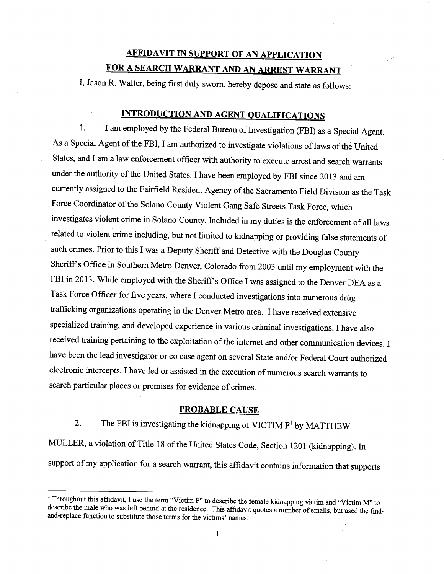# **AFFIDAVIT IN SUPPORT OF AN APPLICATION** FOR A SEARCH WARRANT AND AN ARREST WARRANT

I, Jason R. walter, being first duly sworn, hereby depose and state as follows:

**INTRODUCTION AND AGENT QUALIFICATIONS**<br>1. I am employed by the Federal Bureau of Investigation (FBI) as a Special Agent. As a Special Agent of the FBI, I am authorized to investigate violations of laws of the United States, and I am a law enforcement officer with authority to execute arest and search warrants under the authority of the United States. I have been employed by FBI since 2013 and am currently assigned to the Fairfield Resident Agency of the Sacramento Field Division as the Task Force Coordinator of the Solano County Violent Gang Safe Streets Task Force, which investigates violent crime in Solano County. Included in my duties is the enforcement of all laws related to violent crime including, but not limited to kidnapping or providing false statements of such crimes. Prior to this I was a Deputy Sheriff and Detective with the Douglas County Sheriff's Office in Southern Metro Denver, Colorado from 2003 until my employment with the FBI in 2013. While employed with the Sheriff's Office I was assigned to the Denver DEA as a Task Force Officer for five years, where I conducted investigations into numerous drug trafficking organizations operating in the Denver Metro area. I have received extensive specialized training, and developed experience in various criminal investigations. I have also received training pertaining to the exploitation of the internet and other communication devices. I have been the lead investigator or co case agent on several State and/or Federal Court authorized electronic intercepts. I have led or assisted in the execution of numerous search warrants to search particular places or premises for evidence of crimes.

#### PROBABLE CAUSE

2. The FBI is investigating the kidnapping of VICTIM  $F<sup>1</sup>$  by MATTHEW MULLER, a violation of Title 18 of the United States Code, Section 1201 (kidnapping). In support of my application for a search warrant, this affidavit contains information that supports

<sup>&</sup>lt;sup>1</sup> Throughout this affidavit, I use the term "Victim F" to describe the female kidnapping victim and "Victim M" to emails, but used the findand-replace function to substitute those terms for the victims' names.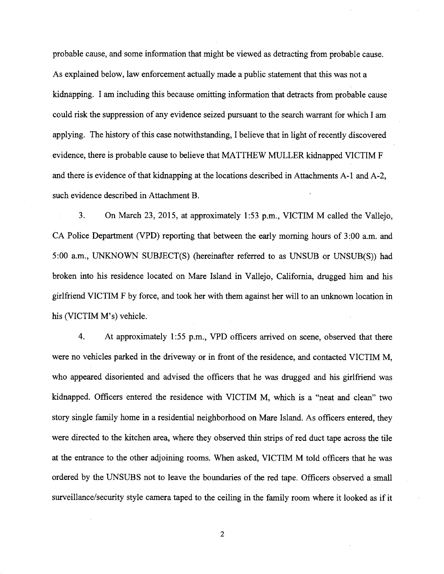probable cause, and some information that might be viewed as detracting from probable cause. As explained below, law enforcement actually made a public statement that this was not a kidnapping. I am including this because omitting information that detracts from probable cause could risk the suppression of any evidence seized pursuant to the search warrant for which I am applying. The history of this case notwithstanding, I believe that in light of recently discovered evidence, there is probable cause to believe that MATTHEW MULLER kidnapped VICTIM F and there is evidence of that kidnapping at the locations described in Attachments A-1 and A-2, such evidence described in Attachment B.

3. On March 23,2015, at approximately 1:53 p.m., VICTIM M called the Vallejo, CA Police Department (VPD) reporting that between the early moming hours of 3:00 a.m. and 5:00 a.m., LTNKNOWN SUBJECT(S) (hereinafter referred to as UNSUB or UNSUB(S)) had broken into his residence located on Mare Island in Vallejo, California, drugged him and his girlfriend VICTIM F by force, and took her with them against her will to an unknown location in his (VICTIM M's) vehicle.

4. At approximately 1:55 p.m., VPD officers arrived on scene, observed that there were no vehicles parked in the driveway or in front of the residence, and contacted VICTIM M, who appeared disoriented and advised the officers that he was drugged and his girlfriend was kidnapped. Offrcers entered the residence with VICTIM M, which is a "neat and clean" two story single family home in a residential neighborhood on Mare Island. As officers entered, they were directed to the kitchen area, where they observed thin strips of red duct tape across the tile at the entrance to the other adjoining rooms. When asked, VICTIM M told officers that he was ordered by the LINSUBS not to leave the boundaries of the red tape. Officers observed a small surveillance/security style camera taped to the ceiling in the family room where it looked as if it

 $\overline{2}$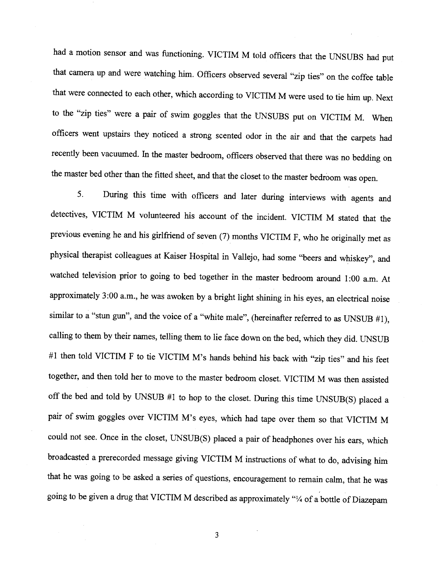had a motion sensor and was functioning. VICTIM M told officers that the UNSUBS had put that camera up and were watching him. Officers observed several "zip ties" on the coffee table that were connected to each other, which according to VICTIM M were used to tie him up. Next to the "zip ties" were a pair of swim goggles that the UNSUBS put on VICTIM M. When officers went upstairs they noticed a strong scented odor in the air and that the carpets had recently been vacuumed. In the master bedroom, officers observed that there was no bedding on the master bed other than the fitted sheet, and that the closet to the master bedroom was open.

5. During this time with officers and later during interviews with agents and detectives, VICTIM M volunteered his account of the incident. VICTIM M stated that the previous evening he and his girlfriend of seven (7) months VICTIM F, who he originally met as physical therapist colleagues at Kaiser Hospital in Vallejo, had some "beers and whiskey", and watched television prior to going to bed together in the master bedroom around 1:00 a.m. At approximately 3:00 a.m., he was awoken by a bright light shining in his eyes, an electrical noise similar to a "stun gun", and the voice of a "white male", (hereinafter referred to as UNSUB #1), calling to them by their names, telling them to lie face down on the bed, which they did. LINSUB #1 then told VICTIM F to tie VICTIM M's hands behind his back with "zip ties" and his feet together, and then told her to move to the master bedroom closet. VICTIM M was then assisted off the bed and told by UNSUB #1 to hop to the closet. During this time UNSUB(S) placed a pair of swim goggles over VICTIM M's eyes, which had tape over them so that VICTIM M could not see. Once in the closet, UNSUB(S) placed a pair of headphones over his ears, which broadcasted a prerecorded message giving VICTIM M instructions of what to do, advising him that he was going to be asked a series of questions, encouragement to remain calm, that he was going to be given a drug that VICTIM M described as approximately "1/4 of a bottle of Diazepam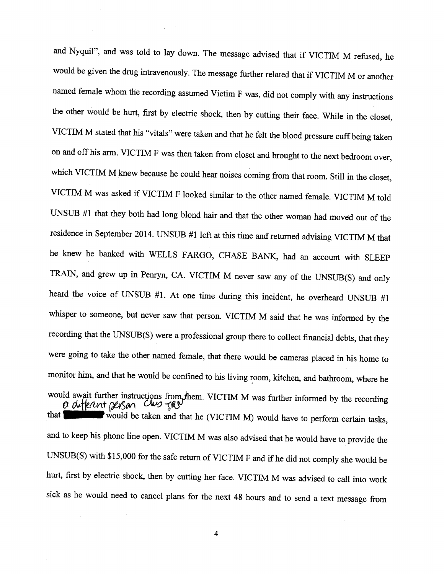and Nyquil", and was told to lay down. The message advised that if VICTIM M refused, he would be given the drug intravenously. The message further related that if VICTIM M or another named female whom the recording assumed Victim F was, did not comply with any instructions the other would be hurt, first by electric shock, then by cutting their face. While in the closet, VICTIM M stated that his "vitals" were taken and that he felt the blood pressure cuff being taken on and off his arm. VICTIM F was then taken from closet and brought to the next bedroom over, which VICTIM M knew because he could hear noises coming from that room. Still in the closet, VICTIM M was asked if VICTIM F looked similar to the other named female. VICTIM M told LTNSUB #l that they both had long blond hair and that the other woman had movod out of the residence in September 2014. UNSUB #1 left at this time and returned advising VICTIM M that he knew he banked with WELLS FARGO, CHASE BANK, had an account with SLEEP TRAIN, and grew up in Penryn, CA. VICTIM M never saw any of the UNSUB(S) and only heard the voice of UNSUB #1. At one time during this incident, he overheard UNSUB #1 whisper to someone, but never saw that person. VICTIM M said that he was informed by the recording that the UNSUB(S) were a professional group there to collect financial debts, that they were going to take the other named female, that there would be cameras placed in his home to monitor him, and that he would be confined to his living room, kitchen, and bathoom, where he would await further instructions from them. VICTIM M was further informed by the recording  $\alpha$  deferent person cluss  $\tau$  $\alpha$  different  $\beta$ erson  $\alpha$   $\alpha$   $\gamma$  $\alpha$ <sup>y</sup>  $\gamma$  $\alpha$   $\gamma$   $\alpha$   $\gamma$   $\alpha$   $\gamma$  are recording that and to keep his phone line open. VICTIM M was also advised that he would have to provide the UNSUB(S) with \$15,000 for the safe return of VICTIM F and if he did not comply she would be hurt, first by electric shock, then by cutting her face. VICTIM M was advised to call into work sick as he would need to cancel plans for the next 48 hours and to send a text message from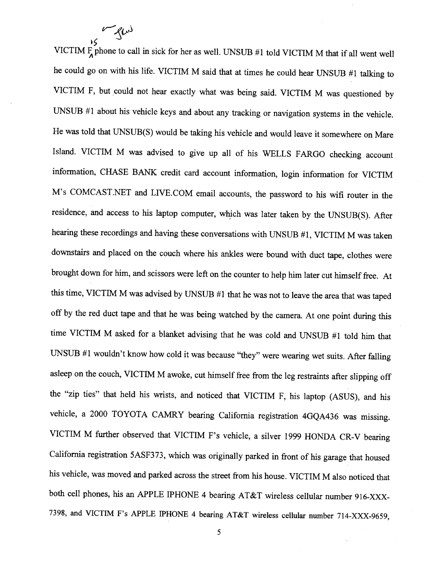n<d t9 VICTIM  $\frac{F}{A}$  phone to call in sick for her as well. UNSUB #1 told VICTIM M that if all went well he could go on with his life. VICTIM M said that at times he could hear UNSUB #l talking to VICTIM F, but could not hear exactly what was being said. VICTIM M was questioned by LINSUB #1 about his vehicle keys and about any tracking or navigation systems in the vehicle. He was told that UNSUB(S) would be taking his vehicle and would leave it somewhere on Mare Island. VICTIM M was advised to give up all of his WELLS FARGO checking account information, CHASE BANK credit card account information, login information for VICTIM M's COMCAST.NET and LIVE.COM email accounts, the password to his wifi router in the residence, and access to his laptop computer, which was later taken by the UNSUB(S). After hearing these recordings and having these conversations with UNSUB #1, VICTIM M was taken downstairs and placed on the couch where his ankles were bound with duct tape, clothes were brought down for him, and scissors were left on the counter to help him later cut himself free. At this time, VICTIM M was advised by UNSUB #1 that he was not to leave the area that was taped off by the red duct tape and that he was being watched by the camera. At one point during this time VICTIM M asked for a blanket advising that he was cold and UNSUB #l told him that UNSUB #l wouldn't know how cold it was because "they" were wearing wet suits. After falling asleep on the couch, VICTIM M awoke, cut himself free from the leg restraints after slipping off the "zip ties" that held his wrists, and noticed that VICTIM F, his laptop (ASUS), and his vehicle, a 2000 TOYOTA CAMRY bearing California registration 4GQA436 was missing. VICTIM M firther observed that VICTIM F's vehicle, a silver 1999 HONDA CR-V bearing California registration 5ASF373, which was originally parked in front of his garage that housed his vehicle, was moved and parked across the street from his house. VICTIM M also noticed that both cell phones, his an APPLE IPHONE 4 bearing AT&T wireless cellular number 916-XXX-7398, and VICTIM F's APPLE IPHONE 4 bearing AT&T wireless cellular number 714-XXX-9659,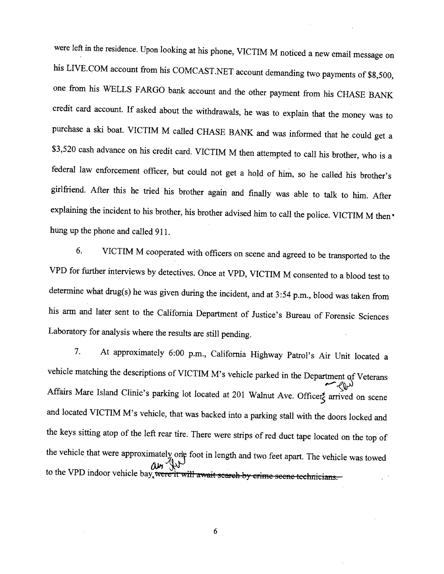were left in the residence. Upon looking at his phone, VICTIM M noticed a new email message on his LIVE.COM account from his COMCAST.NET account demanding two payments of \$8,500, one from his WELLS FARGO bank account and the other payment from his CHASE BANK credit card account. If asked about the withdrawals, he was to explain that the money was to purchase a ski boat. VICTIM M called CHASE BANK and was informed that he could get a \$3,520 cash advance on his credit card. vICTIM M then attempted to call his brother, who is <sup>a</sup> federal law enforcement officer, but could not get a hold of him, so he called his brother's girlfriend' After this he tried his brother again and finally was able to talk to him. After explaining the incident to his brother, his brother advised him to call the police. VICTIM M then, hung up the phone and called 911.

6. VICTIM M cooperated with officers on scene and agreed to be transported to the VPD for further interviews by detectives. Once at VPD, VICTIM M consented to a blood test to determine what drug(s) he was given during the incident, and at 3:54 p.m., blood was taken from his arm and later sent to the California Department of Justice's Bureau of Forensic Sciences Laboratory for analysis where the results are still pending.

7. At approximately 6:00 p.m., California Highway Patrol's Air Unit located a vehicle matching the descriptions of VICTIM M's vehicle parked in the Department qf Veterans Affairs Mare Island Clinic's parking lot located at 201 Walnut Ave. Officer's arrived on scene and located VICTIM M's vehicle, that was backed into a parking stall with the doors locked and the keys sitting atop of the left rear tire. There were strips of red duct tape located on the top of the vehicle that were approximately one foot in length and two feet apart. The vehicle was towed to the VPD indoor vehicle bay, were it will await scareh by erime seene technicians.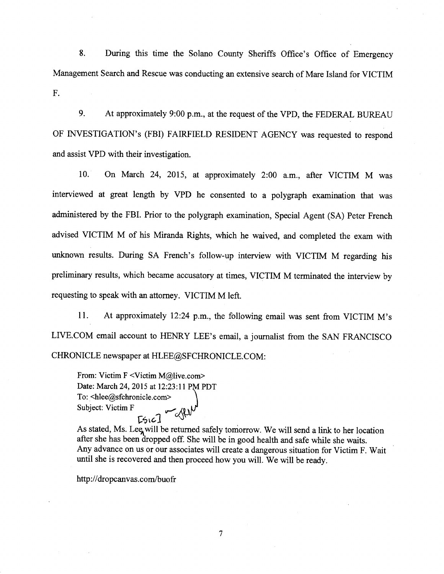8. During this time the Solano County Sheriffs Office's Office of Emergency Management Search and Rescue was conducting an extensive search of Mare Island for VICTIM F.

9. At approximately 9:00 p.m., at the request of the VPD, the FEDERAL BUREAU OF INVESTIGATION's (FBI) FAIRFIELD RESIDENT AGENCY was requested to respond and assist VPD with their investigation.

10. On March 24, 2015, at approximately 2:00 a.m., after VICTIM M was interviewed at great length by VPD he consented to a polygraph examination that was administered by the FBI. Prior to the polygraph examination, Special Agent (SA) Peter French advised VICTIM M of his Miranda Rights, which he waived, and completed the exam with unknown results. During SA French's follow-up interview with VICTIM M regarding his preliminary results, which became accusatory at times, VICTIM M terminated the interview by requesting to speak with an attorney. VICTIM M left.

11. At approximately 12:24 p.m., the following email was sent from VICTIM M's LIVE.COM email account to HENRY LEE's email, a journalist from the SAN FRANCISCO CHRONICLE newspaper at HLEE@SFCHRONICLE.COM:

From: Victim F <Victim M@live.com> Date: March 24, 2015 at 12:23:11 PM PDT To: <hlee@sfchronicle.com><br>Subject: Victim F  $F51c7$ 

As stated, Ms. Lee, will be returned safely tomorrow. We will send a link to her location after she has been dropped off. She will be in good health and safe while she waits. Any advance on us or our associates will create a dangerous situation for Victim F. Wait until she is recovered and then proceed how you will. we will be ready.

http ://dropcanvas. com/buofr

 $\overline{7}$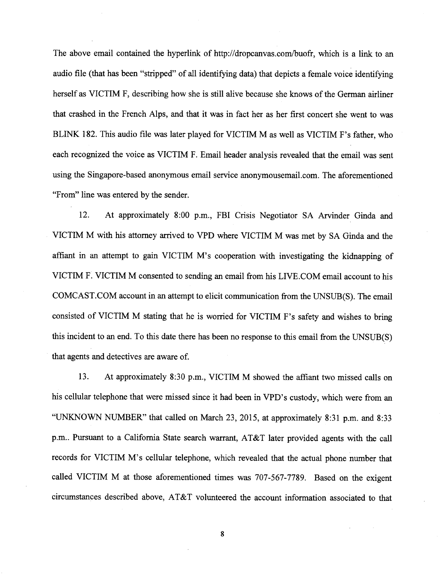The above email contained the hyperlink of http://dropcanvas.com/buofr, which is a link to an audio file (that has been "stripped" of all identifying data) that depicts a female voice identifying herself as VICTIM F, describing how she is still alive because she knows of the German airliner that crashed in the French Alps, and that it was in fact her as her first concert she went to was BLINK 182. This audio file was later played for VICTIM M as well as VICTIM F's father, who each recognized the voice as VICTIM F. Email header analysis revealed that the email was sent using the Singapore-based anonymous email service anonymousemail.com. The aforementioned "From" line was entered by the sender.

12. At approximately 8:00 p.m., FBI Crisis Negotiator SA Arvinder Ginda and VICTIM M with his attorney arrived to VPD where VICTIM M was met by SA Ginda and the affiant in an attempt to gain VICTIM M's cooperation with investigating the kidnapping of VICTIM F. VICTIM M consented to sending an email from his LIVE.COM email account to his COMCAST.COM account in an attempt to elicit communication from the UNSUB(S). The email consisted of VICTIM M stating that he is worried for VICTIM F's safety and wishes to bring this incident to an end. To this date there has been no response to this email from the UNSUB(S) that agents and detectives are aware of.

13. At approximately 8:30 p.m., VICTIM M showed the affiant two missed calls on his cellular telephone that were missed since it had been in VPD's custody, which were from an "UNKNOWN NUMBER" that called on March 23, 2015, at approximately 8:31 p.m. and 8:33 p.m.. Pursuant to a Califomia State search warrant, AT&T later provided agents with the call records for VICTIM M's cellular telephone, which revealed that the actual phone number that called VICTIM M at those aforementioned times was 707-567-7789. Based on the exigent circumstances described above, AT&T volunteered the account information associated to that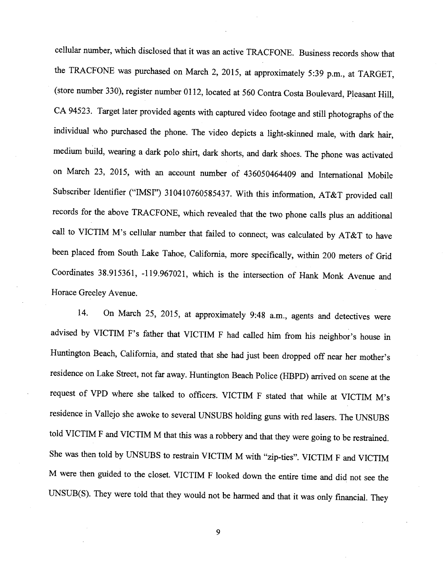cellular number, which disclosed that it was an active TRACFONE. Business records show that the TRACFONE was purchased on March 2,2015, at approximately 5:39 p.m., at TARGET, (store number 330), register number 0112, located at 560 Contra Costa Boulevard, Pleasant Hill, CA94523. Target later provided agents with captured video footage and still photographs of the individual who purchased the phone. The video depicts a light-skinned male, with dark hair, medium build, wearing a dark polo shirt, dark shorts, and dark shoes. The phone was activated on March 23, 2015, with an account number of 436050464409 and International Mobile Subscriber Identifier ("IMSI") 310410760585437. with this information, AT&T provided call records for the above TRACFONE, which revealed that the two phone calls plus an additional call to VICTIM M's cellular number that failed to connect; was calculated by AT&T to have been placed from South Lake Tahoe, Califomia, more specifically, within 200 meters of Grid Coordinates 38.915361, -119.96702l, which is the intersection of Hank Monk Avenue and Horace Greeley Avenue.

14. On March 25, 2015, at approximately 9:48 a.m., agents and detectives were advised by VICTIM F's father that VICTIM F had called him from his neighbor's house in Huntington Beach, California, and stated that she had just been dropped off near her mother's residence on Lake Street, not far away. Huntington Beach Police (HBPD) arrived on scene at the request of VPD where she talked to officers. VICTIM F stated that while at VICTIM M's residence in Vallejo she awoke to several UNSUBS holding guns with red lasers. The UNSUBS told VICTIM F and VICTIM M that this was a robbery and that they were going to be restrained. She was then told by UNSUBS to restrain VICTIM M with "zip-ties". VICTIM F and VICTIM <sup>M</sup>were then guided to the closet. VICTIM F looked down the entire time and did not see the UNSUB(S). They were told that they would not be harmed and that it was only financial. They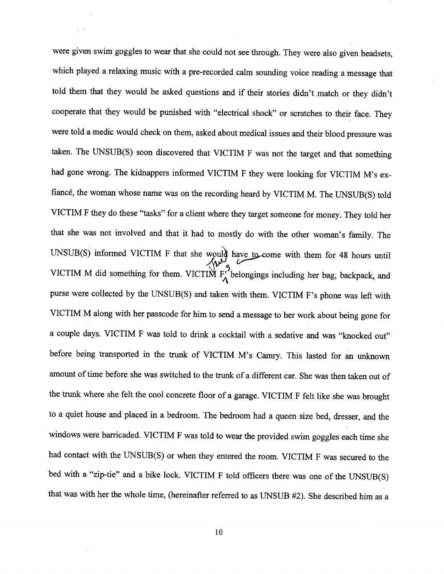were given swim goggles to wear that she could not see through. They were also given headsets, which played a relaxing music with a pre-recorded calm sounding voice reading a message that told them that they would be asked questions and if their stories didn't match or they didn't cooperate that they would be punished wift "electrical shock" or scratches to their face. They were told a medic would check on them, asked about medical issues and their blood pressure was taken. The UNSUB(S) soon discovered that VICTIM F was not the target and that something had gone wrong. The kidnappers informed VICTIM F they were looking for VICTIM M's exfiance, the woman whose name was on the recording heard by VICTIM M. The UNSUB(S) told VICTIM F they do these "tasks" for a client where they target someone for money. They told her that she was not involved and that it had to mostly do with the other woman's family. The  $UNSUB(S)$  informed VICTIM F that she  $\sqrt{\psi^{\mathcal{U}}}$ have to come with them for 48 hours until VICTIM M did something for them. VICTIM  $F'$  belongings including her bag, backpack, and purse were collected by the UNSUB(S) and taken with them. VICTIM F's phone was left with VICTIM M along with her passcode for him to send a message to her work about being gone for a couple days. VICTIM F was told to drink a cocktail with a sedative and was "knocked out" before being transported in the trunk of VICTIM M's Camry. This lasted for an unknown amount of time before she was switched to the trunk of a different car. She was then taken out of the trunk where she felt the cool concrete floor of a garage. VICTIM F felt like she was brought to a quiet house and placed in a bedroom. The bedroom had a queen size bed, dresser, and the windows were barricaded. VICTIM F was told to wear the provided swim goggles each time she had contact with the UNSUB(S) or when they entered the room. VICTIM F was secured to the bed with a "zip-tie" and a bike lock. VICTIM F told officers there was one of the UNSUB(S) that was with her the whole time, (hereinafter referred to as UNSUB #2). She described him as <sup>a</sup>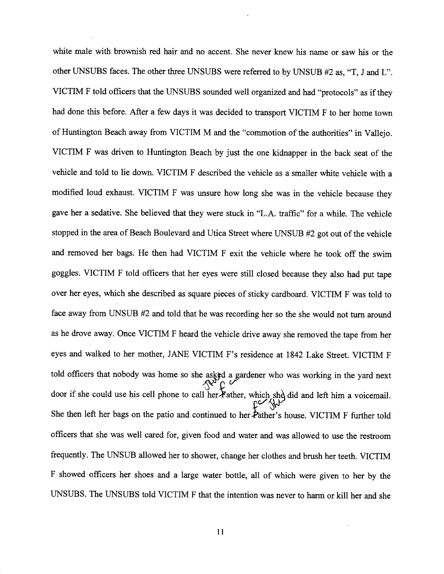white male with brownish red hair and no accent. She never knew his name or saw his or the other UNSUBS faces. The other three UNSUBS were referred to by UNSUB #2 as, "T, J and L". VICTIM F told officers that the UNSUBS sounded well organized and had "protocols" as if they had done this before. After a few days it was decided to transport VICTIM F to her home town of Huntington Beach away from VICTIM M and the "commotion of the authorities" in Vallejo. VICTIM F was driven to Huntington Beach by just the one kidnapper in the back seat of the vehicle and told to lie down. VICTIM F described the vehicle as a smaller white vehicle with <sup>a</sup> modified loud exhaust. VICTIM F was unsure how long she was in the vehicle because they gave her a sedative. She believed that they were stuck in "L.A. traffic" for a while. The vehicle stopped in the area of Beach Boulevard and Utica Street where UNSUB #2 got out of the vehicle and removed her bags. He then had VICTIM F exit the vehicle where he took off the swim goggles. VICTIM F told officers that her eyes were still closed because they also had put tape over her eyes, which she described as square pieces of sticky cardboard. VICTIM F was told to face away from UNSUB #2 and told that he was recording her so the she would not turn around as he drove away. Once VICTIM F heard the vehicle drive away she removed the tape from her eyes and walked to her mother, JANE VICTIM F's residence at 1842 Lake Street. VICTIM F told officers that nobody was home so she asked a gardener who was working in the yard next door if she could use his cell phone to call her Father, which shq did and left him a voicemail.  $f^{\sim}$  the She then left her bags on the patio and continued to her  $\cancel{P}$ ather's house. VICTIM F further told offtcers that she was well cared for, given food and water and was allowed to use the restroom frequently. The UNSUB allowed her to shower, change her clothes and brush her teeth. VICTIM F showed officers her shoes and a large water bottle, all of which were given to her by the UNSUBS. The UNSUBS told VICTIM F that the intention was never to harm or kill her and she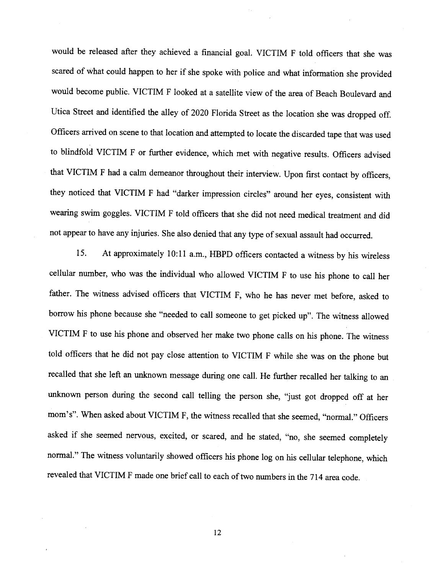would be released after they achieved a financial goal. VICTIM F told officers that she was scared of what could happen to her if she spoke with police and what information she provided would become public. VICTIM F looked at a satellite view of the area of Beach Boulevard and Utica Street and identified the alley of 2020 Florida Street as the location she was dropped off. Officers arrived on scene to that location and attempted to locate the discarded tape that was used to blindfold VICTIM F or further evidence, which met with negative results. Officers advised that VICTIM F had a calm demeanor throughout their interview. Upon first contact by officers, they noticed that VICTIM F had "darker impression circles" around her eyes, consistent with wearing swim goggles. VICTIM F told officers that she did not need medical treatment and did not appear to have any injuries. She also denied that any type of sexual assault had occurred.

15. At approximately 10:11 a.m., HBPD officers contacted a witness by his wireless cellular number, who was the individual who allowed VICTIM F to use his phone to call her father. The witness advised officers that VICTIM F, who he has never met before, asked to borrow his phone because she "needed to call someone to get picked up". The witness allowed VICTIM F to use his phone and observed her make two phone calls on his phone. The witness told officers that he did not pay close attention to VICTIM F while she was on the phone but recalled that she left an unknown message during one call. He further recalled her talking to an unknown person during the second call telling the person she, "just got dropped off at her mom's". When asked about VICTIM F, the witness recalled that she seemed, "normal." Officers asked if she seemed nervous, excited, or scared, and he stated, "no, she seemed completely normal." The witness voluntarily showed officers his phone log on his cellular telephone, which revealed that VICTIM F made one brief call to each of two numbers in the 714 area code.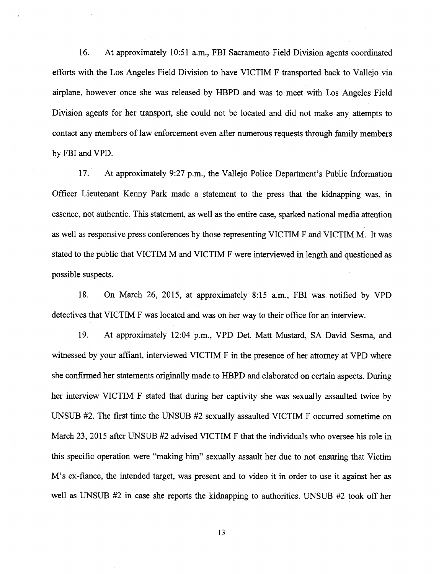16. At approximately 10:51 a.m., FBI Sacramento Field Division agents coordinated efforts with the Los Angeles Field Division to have VICTIM F transported back to Vallejo via airplane, however once she was released by HBPD and was to meet with Los Angeles Field Division agents for her tansport, she could not be located and did not make any attempts to contact any members of law enforcement even after numerous requests through family members by FBI and VPD.

17. At approximately 9:27 p.m., the Vallejo Police Department's Public Information Officer Lieutenant Kenny Park made a statement to the press that the kidnapping was, in essence, not authentic. This statement, as well as the entire case, sparked national media attention as well as responsive press conferences by those representing VICTIM F and VICTIM M. It was stated to the public that VICTIM M and VICTIM F were interviewed in length and questioned as possible suspects.

18. On March 26, 2015, at approximately 8:15 a.m., FBI was notified by VPD detectives that VICTIM F was located and was on her way to their office for an interview.

19. At approximately 12:04 p.m., VPD Det. Matt Mustard, SA David Sesma, and witnessed by your affiant, interviewed VICTIM F in the presence of her attorney at VPD where she confirmed her statements originally made to HBPD and elaborated on certain aspects. During her interview VICTIM F stated that during her captivity she was sexually assaulted twice by UNSUB  $#2$ . The first time the UNSUB  $#2$  sexually assaulted VICTIM F occurred sometime on March 23, 2015 after UNSUB #2 advised VICTIM F that the individuals who oversee his role in this specific operation were "making him" sexually assault her due to not ensuring that Victim M's ex-fiance, the intended target, was present and to video it in order to use it against her as well as UNSUB  $#2$  in case she reports the kidnapping to authorities. UNSUB  $#2$  took off her

l3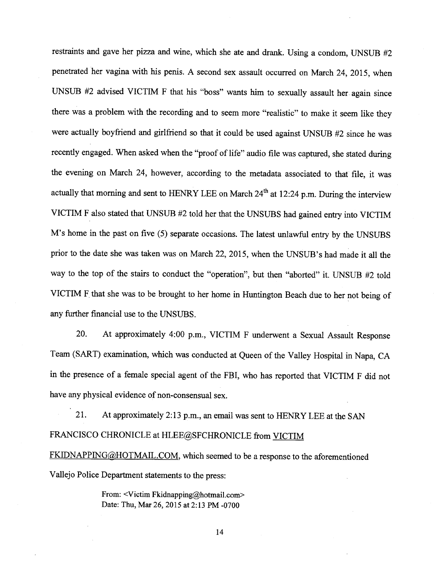restraints and gave her pizza and wine, which she ate and drank. Using a condom, LINSUB #2 penetrated her vagina with his penis. A second sex assault occurred on March 24,2015, when UNSUB #2 advised VICTIM F that his "boss" wants him to sexually assault her again since there was a problem with the recording and to seem more "realistic" to make it seem tike they were actually boyfriend and girlfriend so that it could be used against UNSUB #2 since he was recently engaged. When asked when the "proof of life" audio file was captured, she stated during the evening on March 24, however, according to the metadata associated to that file, it was actually that morning and sent to HENRY LEE on March  $24<sup>th</sup>$  at 12:24 p.m. During the interview VICTIM F also stated that UNSUB #2 told her that the UNSUBS had gained entry into VICTIM M's home in the past on five (5) separate occasions. The latest unlawful entry by the UNSUBS prior to the date she was taken was on March 22, 2015, when the UNSUB's had made it all the way to the top of the stairs to conduct the "operation", but then "aborted" it. UNSUB #2 told VICTIM F that she was to be brought to her home in Huntington Beach due to her not being of any further financial use to the UNSUBS.

20. At approximately 4:00 p.m., VICTIM F underwent a Sexual Assault Response Team (SART) examination, which was conducted at Queen of the Valley Hospital in Napa, CA in the presence of a female special agent of the FBI, who has reported that VICTIM F did not have any physical evidence of non-consensual sex.

21. At approximately 2:13 p.m., an email was sent to HENRY LEE at the SAN FRANCISCO CHRONICLE at HLEE@SFCHRONICLE from VICTIM FKIDNAPPING@HOTMAIL.COM, which seemed to be a response to the aforementioned

Vallejo Police Department statements to the press:

From: <Victim Fkidnapping@hotmail.com> Date: Thu, Mar 26, 2015 at 2:13 PM -0700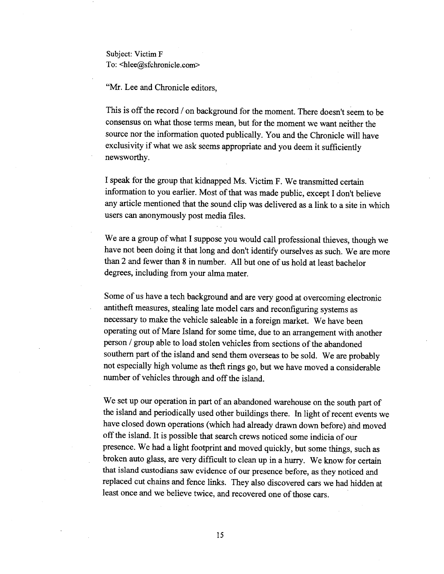Subject: Victim F To: <hlee@sfchronicle.com>

"Mr. Lee and Chronicle editors,

This is off the record / on background for the moment. There doesn't seem to be consensus on what those terms mean, but for the moment we want neither the source nor the information quoted publically. You and the Chronicle will have exclusivity if what we ask seems appropriate and you deem it sufficiently newsworthy.

I speak for the group that kidnapped Ms. victim F. we transmitted certain information to you earlier. Most of that was made public, except I don't believe any article mentioned that the sound clip was delivered as a link to a site in which users can anonymously post media files.

We are a group of what I suppose you would call professional thieves, though we have not been doing it that long and don't identify ourselves as such. We are more than2 and fewer than 8 in number. All but one of us hold at least bachelor degrees, including from your alma mater.

Some of us have a tech background and are very good at overcoming electronic antitheft measures, stealing late model cars and reconfiguring systems as necessary to make the vehicle saleable in a foreign market. We have been operating out of Mare Island for some time, due to an arrangement with another person / group able to load stolen vehicles from sections of the abandoned southern part of the island and send them overseas to be sold. We are probably not especially high volume as theft rings go, but we have moved a considerable number of vehicles through and off the island.

We set up our operation in part of an abandoned warehouse on the south part of the island and periodically used other buildings there. In light of recent events we have closed down operations (which had already drawn down before) and moved off the island. It is possible that search crews noticed some indicia of our presence. We had a light footprint and moved quickly, but some things, such as broken auto glass, are very difficult to clean up in a hurry. we know for certain that island custodians saw evidence of our presence before, as they noticed and replaced cut chains and fence links. They also discovered cars we had hidden at least once and we believe twice, and recovered one of those cars.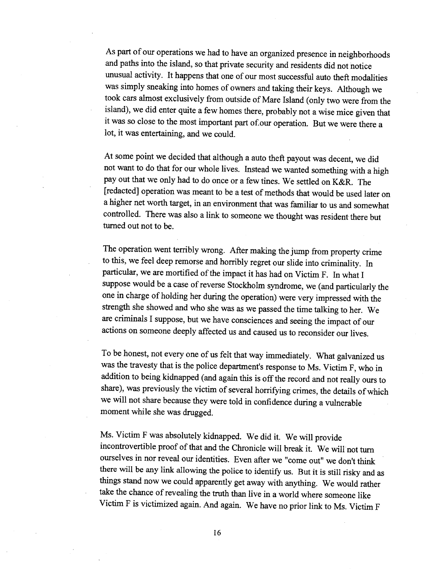As part of our operations we had to have an organized presence in neighborhoods and paths into the island, so that private security and residents did not notice unusual activity. It happens that one of our most successful auto theft modalities was simply sneaking into homes of owners and taking their keys. Although we took cars almost exclusively from outside of Mare Island (only two were from the island), we did enter quite a few homes there, probably not a wise mice given that it was so close to the most important part of.our operation. But we were there <sup>a</sup> lot, it was entertaining, and we could.

At some point we decided that although a auto theft payout was decent, we did not want to do that for our whole lives. Instead we wanted something with a high pay out that we only had to do once or a few tines. we seffled on K&R. The [redacted] operation was meant to be a test of methods that would be used later on <sup>a</sup>higher net worth target, in an environment that was familiar to us and somewhat controlled. There was also a link to someone we thought was resident there but turned out not to be.

The operation went terribly wrong. After making the jump from property crime to this, we feel deep remorse and horribly regret our slide into criminality. In particular, we are mortified of the impact it has had on victim F. In what I suppose would be a case of reverse Stockholm syndrome, we (and particularly the one in charge of holding her during the operation) were very impressed with the strength she showed and who she was as we passed the time talking to her. We are criminals I suppose, but we have consciences and seeing the impact of our actions on someone deeply affected us and caused us to reconsider our lives.

To be honest, not every one of us felt that way immediately. What galvanized us was the travesty that is the police department's response to Ms. victim F, who in addition to being kidnapped (and again this is off the record and not really ours to share), was previously the victim of several horrifying crimes, the details of which we will not share because they were told in confidence during a vulnerable moment while she was drugged.

Ms. victim F was absolutely kidnapped. we did it. we will provide incontrovertible proof of that and the Chronicle will break it. We will not turn ourselves in nor reveal our identities. Even after we "come out" we don't think there will be any link allowing the police to identify us. But it is still risky and as things stand now we could apparently get away with anything. we would rather take the chance of revealing the truth than live in a world where someone like victim F is victimized again. And again. we have no prior link to Ms. victim <sup>F</sup>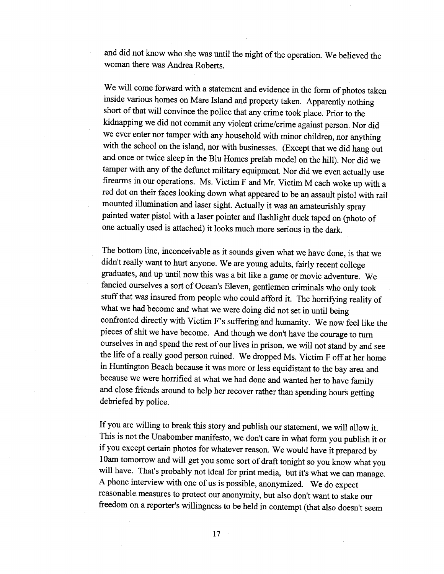and did not know who she was until the night of the operation. We believed the woman there was Andrea Roberts.

We will come forward with a statement and evidence in the form of photos taken inside various homes on Mare Island and property taken. Apparently nothing short of that will convince the police that any crime took place. Prior to the kidnapping we did not commit any violent crime/crime against person. Nor did we ever enter nor tamper with any household with minor children, nor anything with the school on the island, nor with businesses. (Except that we did hang out and once or twice sleep in the Blu Homes prefab model on the hill). Nor did we tamper with any of the defunct military equipment. Nor did we even actually use firearms in our operations. Ms. victim F and Mr. victim M each woke up with <sup>a</sup> red dot on their faces looking down what appeared to be an assault pistol with rail mounted illumination and laser sight. Actually it was an amateurishly spray painted water pistol with a laser pointer and flashlight duck taped on (photo of one actually used is attached) it looks much more serious in the dark.

The bottom line, inconceivable as it sounds given what we have done, is that we didn't really want to hurt anyone. we are young adults, fairly recent college graduates, and up until now this was a bit like a game or movie adventure. we fancied ourselves a sort of Ocean's Eleven, gentlemen criminals who only took stuff that was insured from people who could afford it. The horrifying reality of what we had become and what we were doing did not set in until being confronted directly with Victim F's suffering and humanity. We now feel tike the pieces of shit we have become. And though we don't have the courage to tum ourselves in and spend the rest of our lives in prison, we will not stand by and see the life of a really good person ruined. We dropped Ms. Victim F off at her home in Huntington Beach because it was more or less equidistant to the bay area and because we were horrified at what we had done and wanted her to have family and close friends around to help her recover rather than spending hours getting debriefed by police.

If you are willing to break this story and publish our statement, we will allow it. This is not the Unabomber manifesto, we don't care in what form you publish it or if you except certain photos for whatever reason. we would have it prepared by 10am tomorrow and will get you some sort of draft tonight so you know what you will have. That's probably not ideal for print media, but it's what we can manage. A phone interview with one of us is possible, anonymized. we do expect reasonable measures to protect our anonymity, but also don't want to stake our freedom on a reporter's willingness to be held in contempt (that also doesn't seem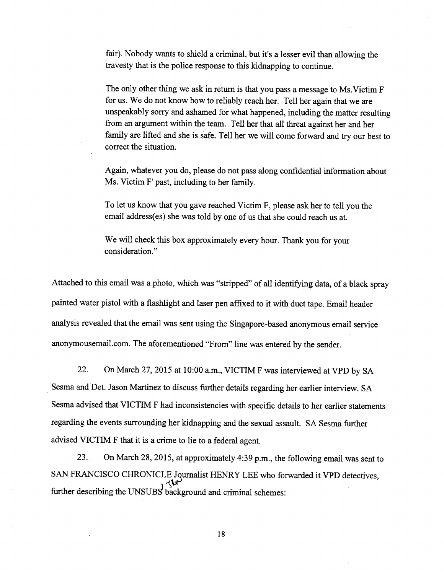fair). Nobody wants to shield a criminal, but it's a lesser evil than allowing the tavesty that is the police response to this kidnapping to continue.

The only other thing we ask in return is that you pass a message to Ms.Victim F for us. we do not know how to reliably reach her. Tell her again that we are unspeakably sorry and ashamed for what happened, including the matter resulting from an argument within the team. Tell her that all threat against her and her family are lifted and she is safe. Tell her we will come forward and try our best to correct the situation.

Again, whatever you do, please do not pass along confidential information about Ms. Victim F' past, including to her family.

To let us know that you gave reached victim F, please ask her to tell you the email address(es) she was told by one of us that she could reach us at.

We will check this box approximately every hour. Thank you for your consideration."

Attached to this email was a photo, which was "stripped" of all identifying data, of a black spray painted water pistol with a flashlight and laser pen affixed to it with duct tape. Email header analysis revealed that the email was sent using the Singapore-based anonymous email service anonymousemail.com. The aforementioned "From" line was entered by the sender.

22. On March 27,2015 at 10:00 a.m., VICTIM F was interviewed at VPD by SA Sesma and Det. Jason Martinez to discuss further details regarding her earlier interview. SA Sesma advised that VICTIM F had inconsistencies with specific details to her earlier statements regarding the events surrounding her kidnapping and the sexual assault. SA Sesma further advised VICTIM F that it is a crime to lie to a federal agent.

23. On March 28,2015, at approximately 4:39 p.m., the following email was sent to SAN FRANCISCO CHRONICLE Journalist HENRY LEE who forwarded it VPD detectives, further describing the UNSUBS background and criminal schemes: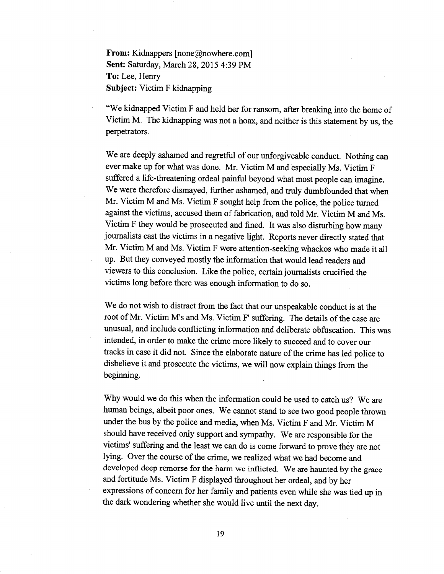From: Kidnappers [none@nowhere.com] Sent: Saturday, March 28, 2015 4:39 PM To: Lee, Henry Subject: Victim F kidnapping

"We kidnapped Victim F and held her for ransom, after breaking into the home of Victim M. The kidnapping was not a hoax, and neither is this statement by us, the perpetrators.

We are deeply ashamed and regretful of our unforgiveable conduct. Nothing can ever make up for what was done. Mr. victim M and especially Ms. victim F suffered a life-threatening ordeal painful beyond what most people can imagine. We were therefore dismayed, further ashamed, and truly dumbfounded that when Mr. victim M and Ms. victim F sought help from the police, the police turned against the victims, accused them of fabrication, and told Mr. Victim M and Ms. Victim F they would be prosecuted and fined. It was also disturbing how many journalists cast the victims in a negative light. Reports never directly stated that Mr. Victim M and Ms. Victim F were attention-seeking whackos who made it all up. But they conveyed mostly the information that would lead readers and viewers to this conclusion. Like the police, certain joumalists crucified the victims long before there was enough information to do so.

We do not wish to distract from the fact that our unspeakable conduct is at the root of Mr. Victim M's and Ms. Victim F'suffering. The details of the case are unusual, and include conflicting information and deliberate obfuscation. This was intended, in order to make the crime more likely to succeed and to cover our tracks in case it did not. Since the elaborate nature of the crime has led police to disbelieve it and prosecute the victims, we will now explain things from the beginning.

Why would we do this when the information could be used to catch us? We are human beings, albeit poor ones. we cannot stand to see two good people thrown under the bus by the police and media, when Ms. Victim F and Mr. Victim M should have received only support and sympathy. we are responsible for the victims' suffering and the least we can do is come forward to prove they are not lying. Over the course of the crime, we realized what we had become and developed deep remorse for the harm we inflicted. We are haunted by the grace and fortitude Ms. victim F displayed throughout her ordeal, and by her expressions of concern for her family and patients even while 3he was tied up in the dark wondering whether she would live until the next day.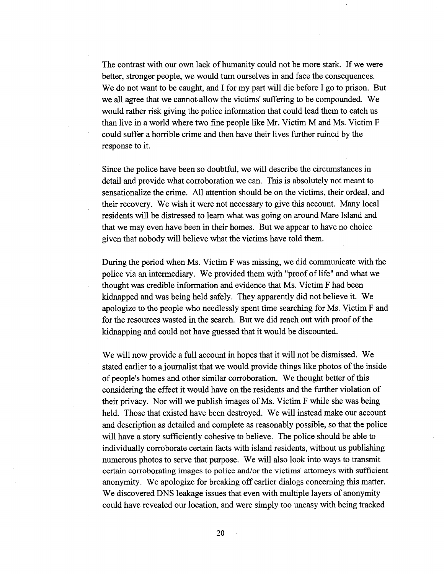The contrast with our own lack of humanity could not be more stark. If we were better, stronger people, we would furn ourselves in and face the consequences. We do not want to be caught, and I for my part will die before I go to prison. But we all agree that we cannot-allow the victims'suffering to be compounded. We would rather risk giving the police information that could lead them to catch us than live in a world where two fine people like Mr. Victim M and Ms. Victim F could suffer a horrible crime and then have their lives further ruined by the response to it.

Since the police have been so doubtful, we will describe the circumstances in detail and provide what corroboration we can. This is absolutely not meant to sensationalize the crime. All attention should be on the victims, their ordeal, and their recovery. We wish it were not necessary to give this account. Many local residents will be distressed to learn what was going on around Mare Island and that we may even have been in their homes. But we appear to have no choice given that nobody will believe what the victims have told them.

During the period when Ms. Victim F was missing, we did communicate with the police via an intermediary. We provided them with "proof of life" and what we thought was credible information and evidence that Ms. Victim F had been kidnapped and was being held safely. They apparently did not believe it. We apologize to the people who needlessly spent time searching for Ms. Victim F and for the resources wasted in the search. But we did reach out with proof of the kidnapping and could not have guessed that it would be discounted.

We will now provide a full account in hopes that it will not be dismissed. We stated earlier to a journalist that we would provide things like photos of the inside of people's homes and other similar corroboration. We thought better of this considering the effect it would have on the residents and the further violation of their privacy. Nor will we publish images of Ms. Victim F while she was being held. Those that existed have been destoyed. We will instead make our account and description as detailed and complete as reasonably possible, so that the police will have a story sufficiently cohesive to believe. The police should be able to individually corroborate certain facts with island residents, without us publishing numerous photos to serve that purpose. We will also look into ways to transmit certain corroborating images to police and/or the victims' attomeys with sufficient anonymity. We apologize for breaking offearlier dialogs concerning this matter. We discovered DNS leakage issues that even with multiple layers of anonymity could have revealed our location, and were simply too uneasy with being tracked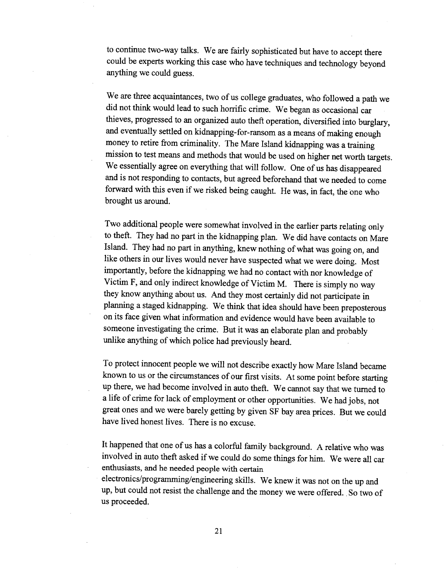to continue two-way talks. We are fairly sophisticated but have to accept there could be experts working this case who have techniques and technology beyond anything we could guess.

We are three acquaintances, two of us college graduates, who followed a path we did not think would lead to such horrific crime. we began as occasional car thieves, progressed to an organized auto theft operation, diversified into burglary, and eventually settled on kidnapping-for-ransom as a means of making enough money to retire from criminality. The Mare Island kidnapping was a training mission to test means and methods that would be used on higher net worth targets. We essentially agree on everything that will follow. One of us has disappeared and is not responding to contacts, but agreed beforehand that we needed to come forward with this even if we risked being caught. He was, in fact, the one who brought us around.

Two additional people were somewhat involved in the earlier parts relating only to theft. They had no part in the kidnapping plan. We did have contacts on Mare Island. They had no part in anything, knew nothing of what was going on, and like others in our lives would never have suspected what we were doing. Most importantly, before the kidnapping we had no contact with nor knowledge of victim F, and only indirect knowledge of victim M. There is simply no way they know anything about us. And they most certainly did not participate in planning a staged kidnapping. We think that idea should have been preposterous on its face given what information and evidence would have been available to someone investigating the crime. But it was an elaborate plan and probably unlike anything of which police had previously heard.

To protect innocent people we will not describe exactly how Mare Island became known to us or the circumstances of our first visits. At some point before starting up there, we had become involved in auto theft. we cannot say that we turned to <sup>a</sup>life of crime for lack of employment or other opportunities. we had jobs, not great ones and we were barely getting by given SF bay area prices. But we could have lived honest lives. There is no excuse.

It happened that one of us has a colorful family background. A relative who was involved in auto theft asked if we could do some things for him. We were all car enthusiasts, and he needed people with certain

electronics/programming/engineering skills. we knew it was not on the up and up, but could not resist the challenge and the money we were offered. So two of us proceeded.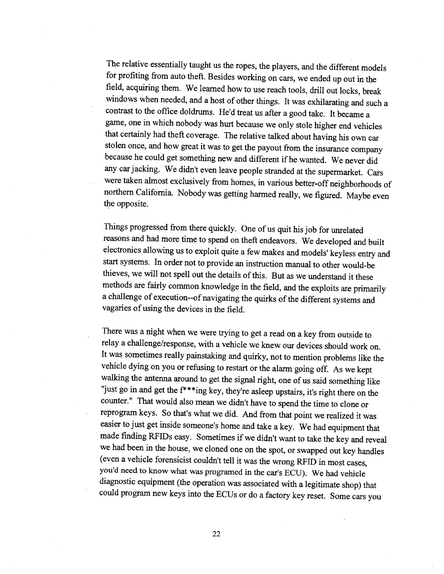The relative essentially taught us the ropes, the players, and the different models for profiting from auto theft. Besides working on cars, we ended up out in the field, acquiring them' We learned how to use reach tools, drill out locks, break windows when needed, and a host of other things. It was exhilarating and such <sup>a</sup> contrast to the office doldrums. He'd treat us after a good take. It became a game, one in which nobody was hurt because we only stole higher end vehicles that certainly had theft coverage. The relative talked about having his own car stolen once, and how great it was to get the payout from the insurance company because he could get something new and different if he wanted. We never did any car jacking. We didn't even leave people stranded at the supermarket. Cars were taken almost exclusively from homes, in various better-off neighborhoods of northern California. Nobody was getting harmed really, we figured. Maybe even the opposite.

Things progressed from there quickly. One of us quit his job for unrelated reasons and had more time to spend on theft endeavors. We developed and built electronics allowing us to exploit quite a few makes and models' keyless entry and start systems. In order not to provide an instruction manual to other would-be thieves, we will not spell out the details of this. But as we understand it these methods are fairly common knowledge in the field, and the exploits are primarily <sup>a</sup>challenge of execution--of navigating the quirks of the different systems and vagaries of using the devices in the field.

There was a night when we were trying to get a read on a key from outside to relay a challenge/response, with a vehicle we knew our devices should work on. It was sometimes really painstaking and quirky, not to mention problems like the vehicle dying on you or refusing to restart or the alarm going off. As we kept walking the antenna around to get the signal right, one of us said something like "just go in and get the f\*\*\*ing key, they're asleep upstairs, it's right there on the counter." That would also mean we didn't have to spend the time to clone or reprogram keys. So that's what we did. And from that point we realized it was easier to just get inside someone's home and take a key. we had equipment that made finding RFIDs easy. Sometimes if we didn't want to take the key and reveal we had been in the house, we cloned one on the spot, or swapped out key handles (even a vehicle forensicist couldn't tell it was the wrong RFID in most cases, you'd need to know what was programed in the car's ECU). we had vehicle diagnostic equipment (the operation was associated with a legitimate shop) that could program new keys into the ECUs or do a factory key reset. Some cars you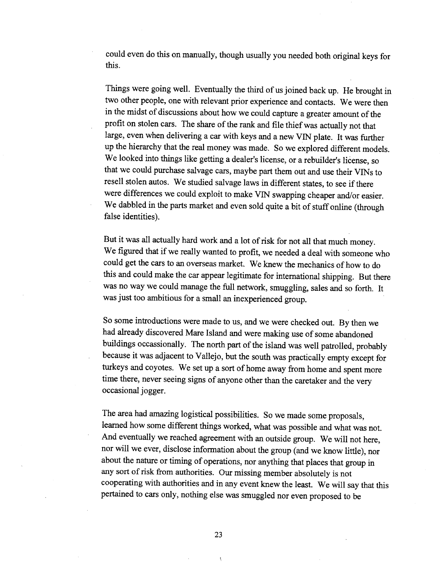could even do this on manually, though usually you needed both original keys for this.

Things were going well. Eventually the third of us joined back up. He brought in two other people, one with relevant prior experience and contacts. We were then in the midst of discussions about how we could capture a greater amount of the profit on stolen cars. The share of the rank and file thief was actually not that large, even when delivering a car with keys and a new vIN plate. It was further up the hierarchy that the real money was made. So we explored diflerent models. We looked into things like getting a dealer's license, or a rebuilder's license, so that we could purchase salvage cars, maybe part them out and use their VINs to resell stolen autos. We studied salvage laws in different states, to see if there were differences we could exploit to make VIN swapping cheaper and/or easier. We dabbled in the parts market and even sold quite a bit of stuff online (through false identities).

But it was all actually hard work and a lot of risk for not all that much money. We figured that if we really wanted to profit, we needed a deal with someone who could get the cars to an overseas market, We knew the mechanics of how to do this and could make the car appear legitimate for international shipping. But there was no way we could manage the full network, smuggling, sales and so forth. It was just too ambitious for a small an inexperienced group.

So some introductions were made to us, and we were checked out. By then we had already discovered Mare Island and were making use of some abandoned buildings occassionally. The north part of the island was well patrolled, probably because it was adjacent to Vallejo, but the south was practically empty except for turkeys and coyotes. we set up a sort of home away from home and spent more time there, never seeing signs of anyone other than the caretaker and the very occasional jogger.

The area had amazing logistical possibilities. So we made some proposals, learned how some different things worked, what was possible and what was not. And eventually we reached agreement with an outside group. We will not here, nor will we ever, disclose information about the group (and we know little), nor about the nature or timing of operations, nor anything that places that group in any sort of risk from authorities. Our missing member absolutely is not cooperating with authorities and in any event knew the least. We will say that this pertained to cars only, nothing else was smuggled nor even proposed to be

 $\mathfrak{t}$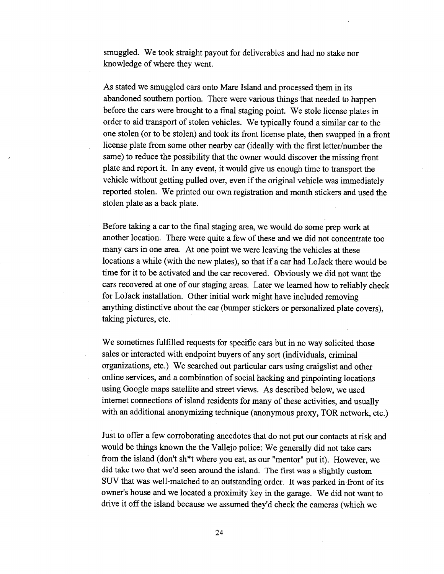smuggled. We took straight payout for deliverables and had no stake nor knowledge of where they went.

As stated we smuggled cars onto Mare Island and processed them in its abandoned southem portion. There were various things that needed to happen before the cars were brought to a final staging point. We stole license plates in order to aid transport of stolen vehicles. We typically found a similar car to the one stolen (or to be stolen) and took its front license plate, then swapped in a front license plate from some other nearby car (ideally with the first letter/number the same) to reduce the possibility that the owner would discover the missing front plate and report it. In any event, it would give us enough time to transport the vehicle without getting pulled over, even if the original vehicle was immediately reported stolen. We printed our own registration and month stickers and used the stolen plate as a back plate.

Before taking a car to the final staging area, we would do some prep work at another location. There were quite a few of these and we did not concentrate too many cars in one area. At one point we were leaving the vehicles at these locations a while (with the new plates), so that if a car had LoJack there would be time for it to be activated and the car recovered. Obviously we did not want the cars recovered at one of our staging areas. Later we learned how to reliably check for LoJack installation. Other initial work might have included removing anything distinctive about the car (bumper stickers or personalized plate covers), taking pictures, etc.

We sometimes fulfilled requests for specific cars but in no way solicited those sales or interacted with endpoint buyers of any sort (individuals, criminal organizations, etc.) We searched out particular cars using craigslist and other online services, and a combination of social hacking and pinpointing locations using Google maps satellite and street views. As described below, we used internet connections of island residents for many of these activities, and usually with an additional anonymizing technique (anonymous proxy, ToR network, etc.)

Just to offer a few corroborating anecdotes that do not put ow contacts at risk and would be things known the the vallejo police: we generally did not take cars from the island (don't sh\*t where you eat, as our "mentor" put it). However, we did take two that we'd seen around the island. The first was a slightly custom SUV that was well-matched to an outstanding order. It was parked in front of its owner's house and we located a proximity key in the garage. We did not want to drive it offthe island because we assumed they'd check the cameras (which we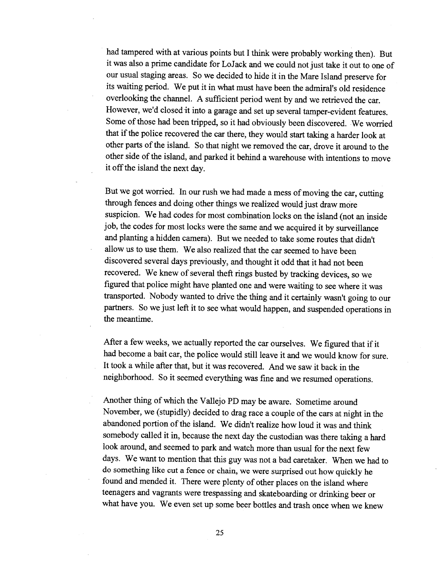had tampered with at various points but I think were probably working then). But it was also a prime candidate for LoJack and we could not just take it out to one of our usual staging areas. So we decided to hide it in the Mare Island preserve for its waiting period. We put it in what must have been the admiral's old residence overlooking the channel. A sufficient period went by and we retrieved the car. However, we'd closed'it into a garage and set up several tamper-evident features. Some of those had been tripped, so it had obviously been discovered. We worried that if the police recovered the car there, they would start taking a harder look at other parts of the island. So that night we removed the car, drove it around to the other side of the island, and parked it behind a warehouse with intentions to move it off the island the next day.

But we got worried. In our rush we had made a mess of moving the car, cutting through fences and doing other things we realized would just draw more suspicion. We had codes for most combination locks on the island (not an inside job, the codes for most locks were the same and we acquired it by surveillance and planting a hidden camera). But we needed to take some routes that didn't allow us to use them. We also realized that the car seemed to have been discovered several days previously, and thought it odd that it had not been recovered. We knew of several theft rings busted by tracking devices, so we figured that police might have planted one and were waiting to see where it was transported. Nobody wanted to drive the thing and it certainly wasn't going to our parhers. So we just left it to see what would happen, and suspended operations in the meantime.

After a few weeks, we actually reported the car ourselves. We figured that if it had become a bait car, the police would still leave it and we would know for sure. It took a while after that, but it was recovered. And we saw it back in the neighborhood. So it seemed everything was fine and we resumed operations.

Another thing of which the vallejo PD may be aware. Sometime around November, we (stupidly) decided to drag race a couple of the cars at night in the abandoned portion of the island. We didn't realize how loud it was and think somebody called it in, because the next day the custodian was there taking a hard look around, and seemed to park and watch more than usual for the next few days. We want to mention that this guy was not a bad caretaker. When we had to do something like cut a fence or chain, we were surprised out how quickly he found and mended it. There were plenty of other places on the island where teenagers and vagrants were trespassing and skateboarding or drinking beer or what have you. We even set up some beer bottles and trash once when we knew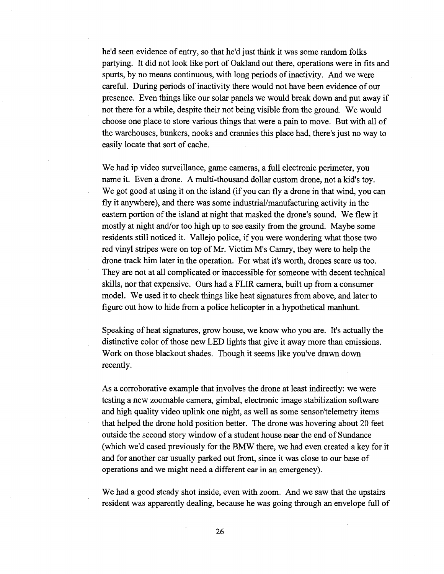he'd seen evidence of entry, so that he'd just think it was some random folks partying. It did not look like port of Oakland out there, operations were in fits and spurts, by no means continuous, with long periods of inactivity. And we were careful. During periods of inactivity there would not have been evidence of our presence. Even things like our solar panels we would break down and put away if not there for a while, despite their not being visible from the ground. We would choose one place to store various things that were a pain to move. But with all of the warehouses, bunkers, nooks and crannies this place had, there's just no way to easily locate that sort of cache.

We had ip video surveillance, game cameras, a full electronic perimeter, you name it. Even a drone. A multi-thousand dollar custom drone, not a kid's toy. We got good at using it on the island (if you can fly a drone in that wind, you can fly it anywhere), and there was some industriaUmanufacturing activity in the eastern portion of the island at night that masked the drone's sound. We flew it mostly at night and/or too high up to see easily from the ground. Maybe some residents still noticed it. Vallejo police, if you were wondering what those two red vinyl stripes were on top of Mr. Victim M's Camry, they were to help the drone track him later in the operation. For what it's worth, drones scare us too. They are not at all complicated or inaccessible for someone with decent technical skills, nor that expensive. Ours had a FLIR camera, built up from a consumer model. We used it to check things like heat signatures from above, and later to figure out how to hide from a police helicopter in a hypothetical manhunt.

Speaking of heat signatures, grow house, we know who you are. It's actually the distinctive color of those new LED lights that give it away more than emissions. Work on those blackout shades. Though it seems like you've drawn down recently.

As a corroborative example that involves the drone at least indirectly: we were testing a new zoomable camera, gimbal, electronic image stabilization software and high quality video uplink one night, as well as some sensor/telemetry items that helped the drone hold position better. The drone was hovering about 20 feet outside the second story window of a student house near the end of Sundance (which we'd cased previously for the BMW there, we had even created a key for it and for another car usually parked out front, since it was close to our base of operations and we might need a different car in an emergency).

We had a good steady shot inside, even with zoom. And we saw that the upstairs resident was apparently dealing, because he was going through an envelope fulI of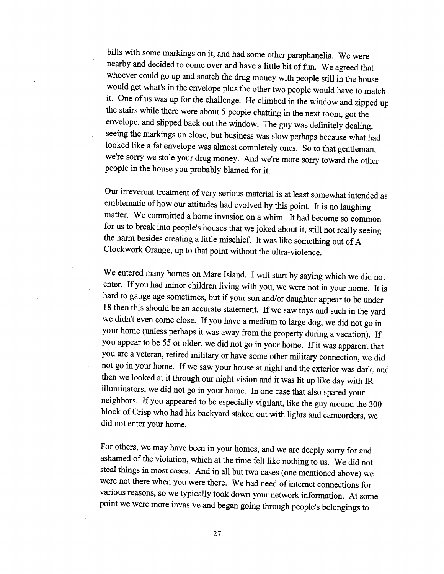bills with some markings on it, and had some other paraphanelia. we were nearby and decided to come over and have a little bit of fun. we agreed that whoever could go up and snatch the drug money with people still in the house<br>would get what's in the envelope plus the other two people would have to match it. One of us was up for the challenge. He climbed in the window and zipped up the stairs while there were about 5 people chatting in the next room, got the envelope, and slipped back out the window. The guy was definitely dealing, seeing the markings up close, but business was slow perhaps because what had looked like a fat envelope was almost completely ones. So to that gentleman, we're sorry we stole your drug money. And we're more sorry toward the other people in the house you probably blamed for it.

Our irreverent treatment of very serious material is at least somewhat intended as emblematic of how our attitudes had evolved by this point. It is no laughing matter. We committed a home invasion on a whim. It had become so common for us to break into people's houses that we joked about it, still not really seeing the harm besides creating a little mischief. It was like something out of A clockwork orange, up to that point without the ulta-violence.

We entered many homes on Mare Island. I wilt start by saying which we did not enter. If you had minor children living with you, we were not in your home. It is hard to gauge age sometimes, but if your son and/or daughter appear to be under 18 then this should be an accurate statement. If we saw toys and such in the yard we didn't even come close. If you have a medium to large dog, we did not go in your home (unless perhaps it was away from the property during a vacation). If you appear to be 55 or older, we did not go in your home. If it was apparent that you are a veteran, retired military or have some other military connection, we did not go in your home. If we saw your house at night and the exterior was dark, and then we looked at it through our night vision and it was lit up like day with IR illuminators, we did not go in your home. In one case that also spared your neighbors. If you appeared to be especially vigilant, like the guy around the <sup>300</sup> block of Crisp who had his backyard staked out with lights and camcorders, we did not enter your home.

For others, we may have been in your homes, and we are deeply sorry for and ashamed of the violation, which at the time felt like nothing to us. we did not steal things in most cases. And in all but two cases (one mentioned above) we were not there when you were there. We had need of internet connections for various reasons, so we typically took down your network information. At some point we were more invasive and began going through people's belongings to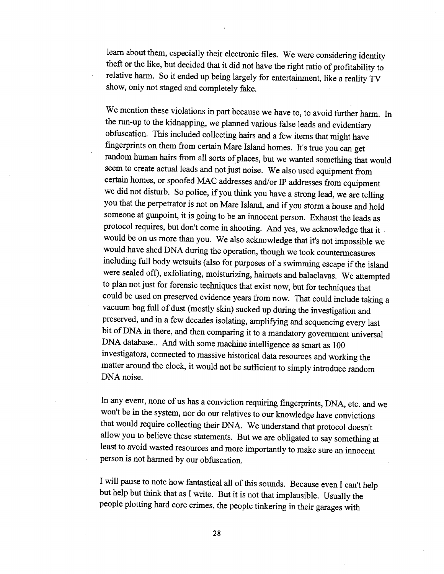learn about them, especially their electronic files. We were considering identity theft or the like, but decided that it did not have the right ratio of profitability to relative harm. So it ended up being largely for entertainment, like a reality TV show, only not staged and completely fake.

We mention these violations in part because we have to, to avoid further harm. In the run-up to the kidnapping, we planned various false leads and evidentiary obfuscation. This included collecting hairs and a few items that might have fingerprints on them from certain Mare Island homes. It's true you can get random human hairs from all sorts of places, but we wanted something that would seem to create actual leads and not just noise. we also used equipment from certain homes, or spoofed MAC addresses and/or IP addresses from equipment we did not disturb. So police, if you think you have a strong lead, we are telling you that the perpetator is not on Mare Island, and if you storm a house and hold someone at gunpoint, it is going to be an innocent person. Exhaust the leads as protocol requires, but don't come in shooting. And yes, we acknowledge that it would be on us more than you. We also acknowledge that it's not impossible we would have shed DNA during the operation, though we took countermeasures including full body wetsuits (also for purposes of a swimming escape if the island were sealed off), exfoliating, moisturizing, haimets and balaclavas. We attempted to plan not just for forensic techniques that exist now, but for techniques that could be used on preserved evidence years from now. That could include taking <sup>a</sup> vacuum bag full of dust (mostly skin) sucked up during the investigation and preserved, and in a few decades isolating, amplifying and sequencing every last bit of DNA in there, and then comparing it to a mandatory govemment universal DNA database.. And with some machine intelligence as smart as <sup>100</sup> investigators, connected to massive historical data resources and working the matter around the clock, it would not be sufficient to simply introduce random DNA noise.

In any event, none of us has a conviction requiring fingerprints, DNA, etc. and we won't be in the system, nor do our relatives to our knowledge have convictions that would require collecting their DNA. We understand that protocol doesn't allow you to believe these statements. But we are obligated to say something at least to avoid wasted resources and more importantly to make sure an innocent person is not harmed by our obfuscation.

<sup>I</sup>will pause to note how fantastical all of this sounds. Because even I can't help but help but think that as I write. But it is not that implausible. Usually the people plotting hard core crimes, the people tinkering in their garages with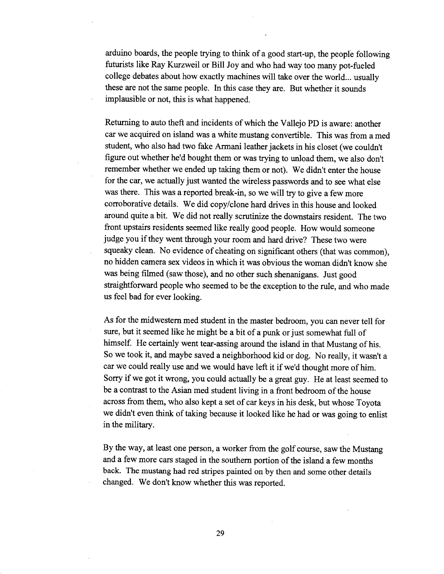arduino boards, the people trying to think of a good start-up, the people following futurists like Ray Kurzweil or Bill Joy and who had way too many pot-fueled college debates about how exactly machines will take over the world... usually these are not the same people. In this case they are. But whether it sounds implausible or not, this is what happened.

Returning to auto theft and incidents of which the Vallejo PD is aware: another car we acquired on island was a white mustang convertible. This was from a med student, who also had two fake Armani leather jackets in his closet (we couldn't figure out whether he'd bought them or was trying to unload them, we also don't remember whether we ended up taking them or not). we didn't enter the house for the car, we actually just wanted the wireless passwords and to see what else was there. This was a reported break-in, so we will try to give a few more corroborative details. We did copy/clone hard drives in this house and looked around quite a bit. We did not really scrutinize the downstairs resident. The two front upstairs residents seemed like really good people. How would someone judge you if they went through your room and hard drive? These two were squeaky clean. No evidence of cheating on significant others (that was common), no hidden camera sex videos in which it was obvious the woman didn't know she was being filmed (saw those), and no other such shenanigans. Just good straightforward people who seemed to be the exception to the rule, and who made us feel bad for ever looking.

As for the midwestern med student in the master bedroom, you can never tell for sure, but it seemed like he might be a bit of a punk or just somewhat full of himself. He certainly went tear-assing around the island in that Mustang of his. So we took it, and maybe saved a neighborhood kid or dog. No really, it wasn't a car we could really use and we would have left it if we'd thought more of him. Sorry if we got it wrong, you could actually be a great guy. He at least seemed to be a contrast to the Asian med student living in a front bedroom of the house across from them, who also kept a set of car keys in his desk, but whose Toyota we didn't even think of taking because it looked like he had or was going to enlist in the military.

By the way, at least one person, a worker from the golf course, saw the Mustang and a few more cars staged in the southern portion of the island a few months back. The mustang had red stripes painted on by then and some other details changed. We don't know whether this was reported.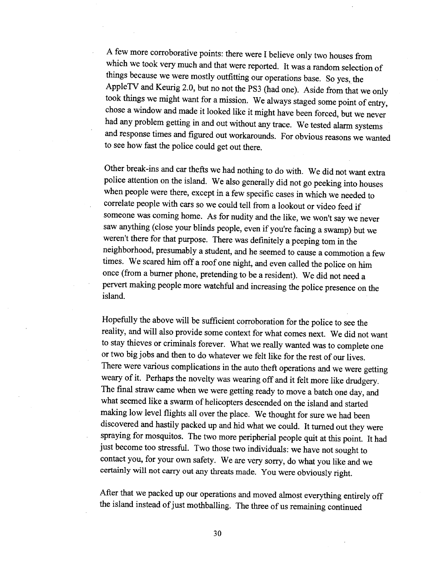<sup>A</sup>few more coroborative points: there were I believe only two houses from which we took very much and that were reported. It was a random selection of things because we were mostly outfitting our operations base. So yes, the AppleTV and Keurig 2.0, but no not the ps3 (had one). Aside from that we only took things we might want for a mission. we always staged some point of entry, chose a window and made it looked like it might have been forced, but we never had any problem getting in and out without any trace. We tested alarm systems and response times and figured out workarounds. For obvious reasons we wanted to see how fast the police could get out there.

Other break-ins and car thefts we had nothing to do with. We did not want extra police attention on the island. We also generally did not go peeking into houses when people were there, except in a few specific cases in which we needed to correlate people with cars so we could tell from a lookout or video feed if someone was coming home. As for nudity and the like, we won't say we never saw anything (close your blinds people, even if you're facing a swamp) but we weren't there for that purpose. There was definitely a peeping tom in the neighborhood, presumably a student, and he seemed to cause a commotion a few times. we scared him off a roof one night, and even called the police on him once (from a burner phone, pretending to be a resident). we did not need <sup>a</sup> pervert making people more watchful and increasing the police presence on the island.

Hopefully the above will be sufficient corroboration for the police to see the reality, and will also provide some context for what comes next. We did not want to stay thieves or criminals forever. What we really wanted was to complete one or two big jobs and then to do whatever we felt like for the rest of our lives. There were various complications in the auto theft operations and we were getting weary of it. Perhaps the novelty was wearing off and it felt more like drudgery. The final straw came when we were getting ready to move a batch one day, and what seemed like a swarn of helicopters descended on the island and started making low level flights all over the place. we thought for sure we had been discovered and hastily packed up and hid what we could. It turned out they were spraying for mosquitos. The two more peripherial people quit at this point. It had just become too stressful. Two those two individuals: we have not sought to contact you, for your own safety. we are very sorry, do what you like and we certainly will not carry out any threats made. You were obviously right.

After that we packed up our operations and moved almost everything entirely off the island instead of just mothballing. The three of us remaining continued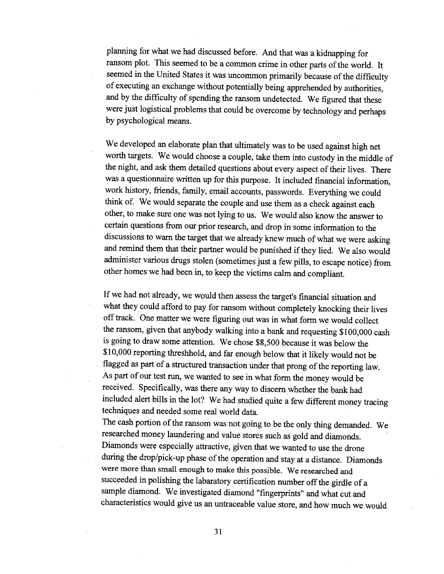planning for what we had discussed before. And that was a kidnapping for ransom plot. This seemed to be a common crime in other parts of the world. It seemed in the United States it was uncommon primarily because of the difficulty of executing an exchange without potentially being apprehended by authorities, and by the difficulty of spending the ransom undetected. We figured that these were just logistical problems that could be overcome by technology and perhaps by psychological means.

We developed an elaborate plan that ultimately was to be used against high net worth targets. We would choose a couple, take them into custody in the middle of the night, and ask them detailed questions about every aspect of their lives. There was a questionnaire written up for this purpose. It included financial information, work history, friends, family, email accounts, passwords. Everything we could think of. we would separate the couple and use them as a check against each other, to make sure one was not lying to us. we would also know the answer to certain questions from our prior research, and drop in some information to the discussions to warn the target that we already knew much of what we were asking and remind them that their partner would be punished if they lied. We also would administer various drugs stolen (sometimes just a few pills, to escape notice) from other homes we had been in, to keep the victims calm and compliant.

If we had not already, we would then assess the target's financial situation and what they could afford to pay for ransom without completely knocking their lives off track. One matter we were figuring out was in what form we would collect the ransom, given that anybody walking into a bank and requesting \$100,000 cash is going to draw some attention. we chose \$8,500 because it was below the \$10,000 reporting threshhold, and far enough below that it likely would not be flagged as part of a structured transaction under that prong of the reporting law. As part of our test run, we wanted to see in what form the money would be received. Specifically, was there any way to discern whether the bank had included alert bills in the lot? We had studied quite a few different money tracing techniques and needed some real world data.

The cash portion of the ransom was not going to be the only thing demanded. we researched money laundering and value stores such as gold and diamonds. Diamonds were especially attractive, given that we wanted to use the drone during the drop/pick-up phase of the operation and stay at a distance. Diamonds were more than small enough to make this possible. we researched and succeeded in polishing the labaratory certification number off the girdle of a sample diamond. we investigated diamond "fingerprints" and what cut and characteristics would give us an untraceable value store, and how much we would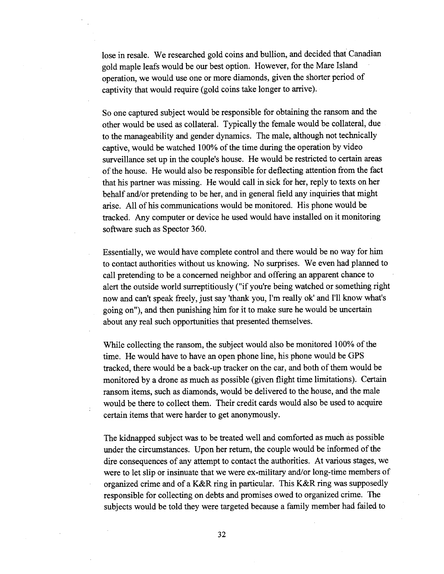lose in resale. 'We researched gold coins and bullion, and decided that Canadian gold maple leafs would be our best option. However, for the Mare Island operation, we would use one or more diamonds, given the shorter period of captivity that would require (gold coins take longer to arrive).

So one captured subject would be responsible for obtaining the ransom and the other would be used as collateral. Typically the female would be collateral, due to the manageability and gender dynamics. The male, although not technically captive, would be watched 100% of the time during the operation by video surveillance set up in the couple's house. He would be restricted to certain areas of the house. He would also be responsible for deflecting attention from the fact that his partner was missing. He would call in sick for her, reply to texts on her behalf and/or pretending to be her, and in general field any inquiries that might arise. A1l of his communications would be monitored. His phone would be tracked. Any computer or device he used would have installed on it monitoring software such as Spector 360.

Essentially, we would have complete control and there would be no way for him to contact authorities without us knowing. No surprises. We even had planned to call pretending to be a concerned neighbor and offering an apparent chance to alert the outside world surreptitiously ("if you're being watched or something right now and can't speak freely, just say 'thank you, I'm really ok' and I'11 know what's going on"), and then punishing him for it to make sure he would be uncertain about any real such opportunities that presented themselves.

While collecting the ransom, the subject would also be monitored 100% of the time. He would have to have an open phone line, his phone would be GPS tracked, there would be a back-up tracker on the car, and both of them would be monitored by a drone as much as possible (given flight time limitations). Certain ransom items, such as diamonds, would be delivered to the house, and the male would be there to collect them. Their credit cards would also be used to acquire certain items that were harder to get anonymously.

The kidnapped subject was to be teated well and comforted as much as possible under the circumstances. Upon her return, the couple would be informed of the dire consequences of any attempt to contact the authorities. At various stages, we were to let stip or insinuate that we were ex-military and/or long-time members of organized crime and of a K&R ring in particular. This K&R ring was supposedly responsible for collecting on debts and promises owed to organized crime. The subjects would be told they were targeted because a family member had failed to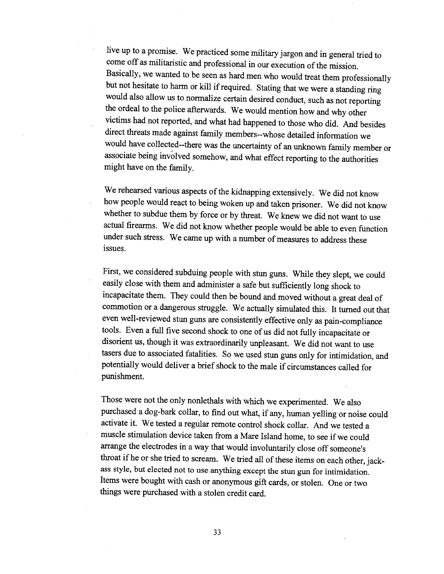live up to a promise. We practiced some military jargon and in general tried to come off as militaristic and professional in our execution of the mission. Basically, we wanted to be seen as hard men who would treat them professionally but not hesitate to harm or kill if required. Stating that we were a standing ring would also allow us to normalize certain desired conduct, such as not reporting the ordeal to the police afterwards. we would mention how and why other victims had not reported, and what had happened to those who did. And besides direct threats made against family members--whose detailed information we would have collected--there was the uncertainty of an unknown family member or associate being involved somehow, and what effect reporting to the authorities might have on the family.

we rehearsed various aspects of the kidnapping extensively. we did not know how people would react to being woken up and taken prisoner. We did not know whether to subdue them by force or by threat. we knew we did not want to use actual firearms. We did not know whether people would be able to even function under such stress. we came up with a number of measures to address these issues.

First, we considered subduing people with stun guns. while they slept, we could easily close with them and administer a safe but sufficiently long shock to incapacitate them. They could then be bound and moved without a great deal of commotion or a dangerous struggle. We actually simulated this. It tumed out that even well-reviewed stun guns are consistently effective only as pain-compliance tools. Even a full five second shock to one of us did not fully incapacitate or disorient us, though it was extraordinarily unpleasant. we did not want to use tasers due to associated fatalities. So we used stun guns only for intimidation, and potentially would deliver a brief shock to the male if circumstances called for punishment

Those were not the only nonlethals with which we experimented. we also purchased a dog-bark collar, to find out what, if any, human yelling or noise could activate it. We tested a regular remote control shock collar. And we tested <sup>a</sup> muscle stimulation device taken from a Mare Island home, to see if we could arrange the electrodes in a way that would involuntarily close off someone's throat if he or she tried to scream. We tried all of these items on each other, jackass style, but elected not to use anything except the stun gun for intimidation. Items were bought with cash or anonymous gift cards, or stolen. One or two things were purchased with a stolen credit card.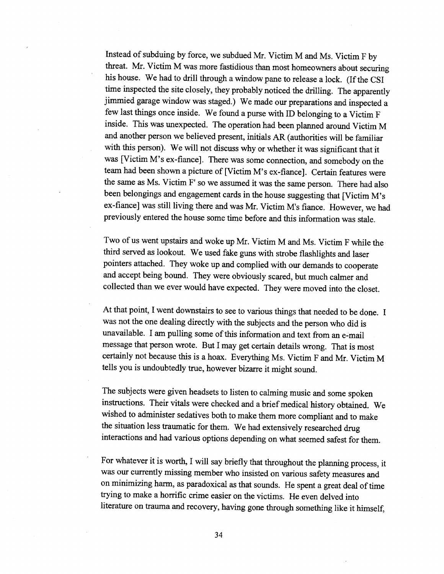Instead of subduing by force, we subdued Mr. victim M and Ms. victim F by threat. Mr. Victim M was more fastidious than most homeowners about securing his house. We had to drill through a window pane to release a lock. (If the CSI time inspected the site closely, they probably noticed the drilling. The apparently jimmied garage window was staged.) We made our preparations and inspected <sup>a</sup> few last things once inside. We found a purse with ID belonging to a victim F inside. This was unexpected. The operation had been planned around Victim M and another person we believed present, initials AR (authorities will be familiar with this person). We will not discuss why or whether it was significant that it was [victim M's ex-fiance]. There was some connection, and somebody on the team had been shown a picture of [Victim M's ex-fiance]. Certain features were the same as Ms. Victim F'so we assumed it was the same person. There had also been belongings and engagement cards in the house suggesting that [Victim M's ex-fiance] was still living there and was Mr. victim M's fiance. However, we had previously entered the house some time before and this information was stale.

Two of us went upstairs and woke up Mr. Victim M and Ms. Victim F while the third served as lookout. We used fake guns with strobe flashlights and laser pointers attached. They woke up and complied with our demands to cooperate and accept being bound. They were obviously scared, but much calmer and collected than we ever would have expected. They were moved into the closet.

At that point, I went downstairs to see to various things that needed to be done. I was not the one dealing directly with the subjects and the person who did is unavailable. I am pulling some of this information and text from an e-mail message that person wrote. But I may get certain details wrong. That is most certainly not because this is a hoax. Everything Ms. victim F and Mr. victim M tells you is undoubtedly true, however bizarre it might sound.

The subjects were given headsets to listen to calming music and some spoken instructions. Their vitals were checked and a brief medical history obtained. We wished to administer sedatives both to make them more compliant and to make the situation less traumatic for them. we had extensively researched drug interactions and had various options depending on what seemed safest for them.

For whatever it is worth, I will say briefly that throughout the planning process, it was our currently missing member who insisted on various safety measures and on minimizing harm, as paradoxical as that sounds. He spent a great deal of time trying to make a horrific crime easier on the victims. He even delved into literature on trauma and recovery, having gone through something like it himself,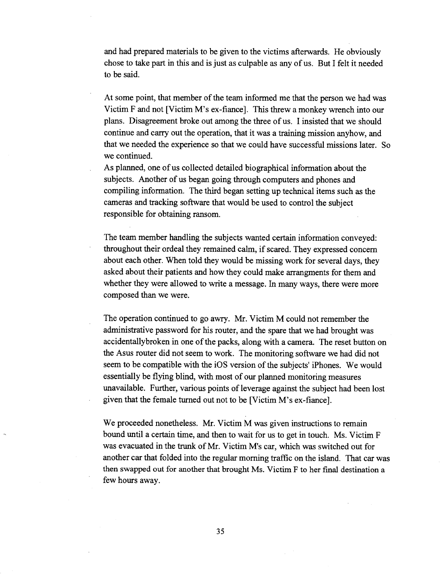and had prepared materials to be given to the victims afterwards. He obviously chose to take part in this and is just as culpable as any of us. But I felt it needed to be said.

At some point, that member of the team informed me that the person we had was Victim F and not [Victim M's ex-fiance]. This threw a monkey wrench into our plans. Disagreement broke out among the three of us. I insisted that we should continue and carry out the operation, that it was a training mission anyhow, and that we needed the experience so that we could have successful missions later. So we continued.

As planned, one of us collected detailed biographical information about the subjects. Another of us began going through computers and phones and compiling information. The third began setting up technical items such as the cameras and tracking software that would be used to control the subject responsible for obtaining ransom.

The team member handling the subjects wanted certain information conveyed: throughout their ordeal they remained calm, if scared. They expressed concem about each other. When told they would be missing work for several days, they asked about their patients and how they could make arrangments for them and whether they were allowed to write a message. In many ways, there were more composed than we were.

The operation continued to go awry. Mr. Victim M could not remember the administrative password for his router, and the spare that we had brought was accidentallybroken in one of the packs, along with a camera. The reset button on the Asus router did not seem to work. The monitoring software we had did not seem to be compatible with the iOS version of the subjects' iPhones. 'We would essentially be flying blind, with most of our planned monitoring measures unavailable. Further, various points of leverage against the subject had been lost given that the female turned out not to be [Victim M's ex-fiance].

We proceeded nonetheless. Mr. Victim M was given instructions to remain bound until a certain time, and then to wait for us to get in touch. Ms. Victim F was evacuated in the trunk of Mr. Victim M's car, which was switched out for another car that folded into the regular morning traffic on the island. That car was then swapped out for another that brought Ms. Victim F to her final destination a few hours away.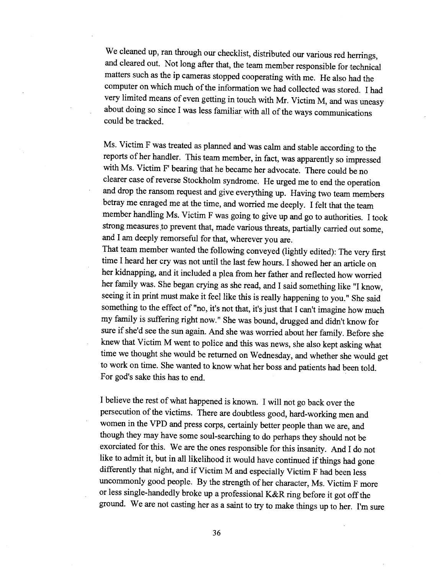We cleaned up, ran through our checklist, distributed our various red herrings, and cleared out. Not long after that, the team member responsible for technical matters such as the ip cameras stopped cooperating with me. He also had the computer on which much of the information we had collected was stored. I had very limited means of even getting in touch with Mr. Victim M, and was uneasy about doing so since I was less familiar with all of the ways communications could be tracked.

Ms. Victim F was treated as planned and was calm and stable according to the reports of her handler. This team member, in fact, was apparently so impressed with Ms. Victim F' bearing that he became her advocate. There could be no clearer case of reverse Stockholm syndrome. He urged me to end the operation and drop the ransom request and give everything up. Having two team members betray me enraged me at the time, and worried me deeply. I felt that the team member handling Ms. Victim F was going to give up and go to authorities. I took strong measures to prevent that, made various threats, partially carried out some, and I am deeply remorseful for that, wherever you are.

That team member wanted the following conveyed (lightly edited): The very first time I heard her cry was not until the last few hours. I showed her an article on her kidnapping, and it included a plea from her father and reflected how worried her family was. She began crying as she read, and I said something like "I know, seeing it in print must make it feel like this is really happening to you." She said something to the effect of "no, it's not that, it's just that I can't imagine how much my family is suffering right now." She was bound, drugged and didn't know for sure if she'd see the sun again. And she was worried about her family. Before she knew that victim M went to police and this was news, she also kept asking what time we thought she would be returned on Wednesday, and whether she would get to work on time. She wanted to know what her boss and patients had been told. For god's sake this has to end.

I believe the rest of what happened is known. I will not go back over the persecution of the victims. There are doubtless good, hard-working men and women in the VPD and press corps, certainly better people than we are, and though they may have some soul-searching to do perhaps they should not be exorciated for this. We are the ones responsible for this insanity. And I do not like to admit it, but in all likelihood it would have continued if things had gone differently that night, and if victim M and especially victim F had been less uncommonly good people. By the strength of her character, Ms. victim F more or less single-handedly broke up a professional K&R ring before it got off the ground. We are not casting her as a saint to try to make things up to her. I'm sure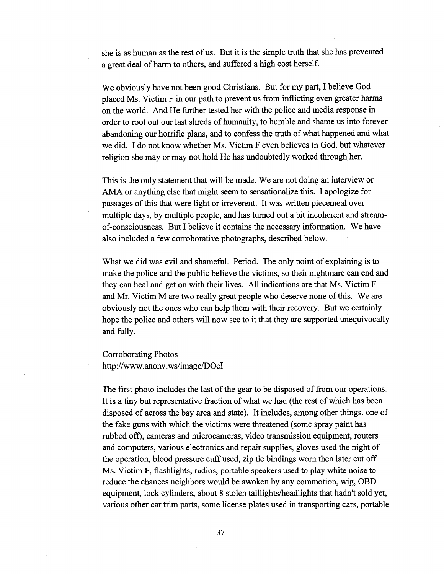she is as human as the rest of us. But it is the simple truth that she has prevented a great deal of harm to others, and suffered a high cost herself.

We obviously have not been good Christians. But for my part, I believe God placed Ms. Victim F in our path to prevent us from inflicting even greater harms on the world. And He further tested her with the police and media response in order to root out our last shreds of humanity, to humble and sharne us into forever abandoning our horrific plans, and to confess the truth of what happened and what we did. I do not know whether Ms. Victim F even believes in God, but whatever religion she may or may not hold He has undoubtedly worked through her.

This is the only statement that will be made. We are not doing an interview or AMA or anything else that might seem to sensationalize this. I apologize for passages of this that were light or irreverent. It was written piecemeal over multiple days, by multiple people, and has turned out a bit incoherent and streamof-consciousness. But I believe it contains the necessary information. We have also included a few corroborative photographs, described below

What we did was evil and shameful. Period. The only point of explaining is to make the police and the public believe the victims, so their nightmare can end and they can heal and get on with their lives. A11 indications are that Ms. Victim F and Mr. Victim M are two really great people who deserve none of this. We are obviously not the ones who can help them with their recovery. But we certainly hope the police and others will now see to it that they are supported unequivocally and fully.

## Corroborating Photos http://www.anony.ws/image/DOcI

The first photo includes the last of the gear to be disposed of from our operations. It is a tiny but representative fraction of what we had (the rest of which has been disposed of across the bay area and state). It includes, among other things, one of the fake guns with which the victims were threatened (some spray paint has rubbed off), cameras and microcameras, video transmission equipment, routers and computers, various electronics and repair supplies, gloves used the night of the operation, blood pressure cuff used, zip tie bindings worn then later cut off Ms. Victim F, flashlights, radios, portable speakers used to play white noise to reduee the chances neighbors would be awoken by any commotion, wig, OBD equipment, lock cylinders, about 8 stolen taillights/headlights that hadn't sold yet, various other car trim parts, some license plates used in transporting cars, portable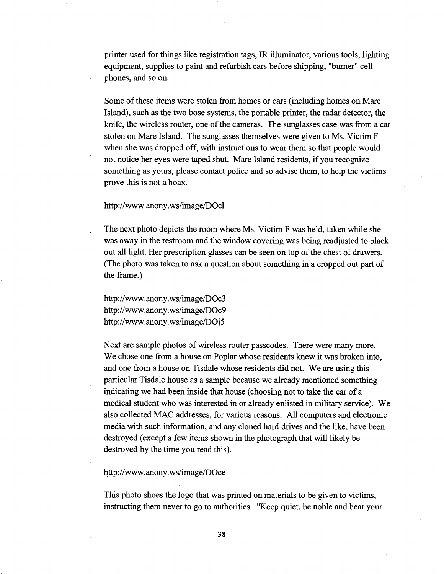printer used for things like registration tags, IR illuminator, various tools, lighting equipment, supplies to paint and refirbish cars before shipping, "burner" cell phones, and so on.

Some of these items were stolen from homes or czrs (including homes on Mare Island), such as the two bose systems, the portable printer, the radar detector, the knife, the wireless router, one of the cameras. The sunglasses case was from a car stolen on Mare Island. The sunglasses themselves were given to Ms. Victim F when she was dropped off, with instructions to wear them so that people would not notice her eyes were taped shut. Mare Island residents, if you recognize something as yours, please contact police and so advise them, to help the victims prove this is not a hoax.

#### http://www.anony.ws/image/DOcl

The next photo depicts the room where Ms. Victim F was held, taken while she was away in the restroom and the window covering was being readjusted to black out all light. Her prescription glasses can be seen on top of the chest of drawers. (The photo was taken to ask a question about something in a cropped out part of the frame.)

http://www.anony.ws/image/DOc3 http ://www.anony.ws/image/DOc9 http://www.anony.ws/image/DOj5

Next are sample photos of wireless router passcodes. There were many more. We chose one from a house on Poplar whose residents knew it was broken into, and one from a house on Tisdale whose residents did not. We are using this particular Tisdale house as a sample because we already mentioned something indicating we had been inside that house (choosing not to take the car of a medical student who was interested in or already enlisted in military service). We also collected MAC addresses, for various reasons. All computers and electronic media with such information, and any cloned hard drives and the like, have been destroyed (except a few items shown in the photograph that will likely be destroyed by the time you read this).

#### http://www.anony.ws/image/DOce

This photo shoes the logo that was printed on materials to be given to victims, instructing them never to go to authorities. "Keep quiet, be noble and bear your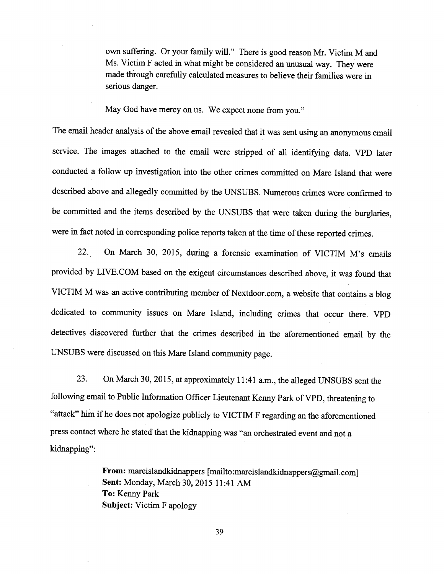own suffering. Or your family will." There is good reason Mr. Victim M and Ms. Victim F acted in what might be considered an unusual way. They were made through carefully calculated measures to believe their families were in serious danger.

May God have mercy on us. We expect none from you."

The email header analysis of the above email revealed that it was sent using an anonymous email service. The images attached to the email were stripped of all identifying data. VPD later conducted a follow up investigation into the other crimes committed on Mare Island that were described above and allegedly committed by the LTNSUBS. Numerous crimes were confirmed to be committed and the items described by the LINSUBS that were taken during the burglaries, were in fact noted in corresponding police reports taken at the time of these reported crimes.

22. On March 30, 2015, during a forensic examination of VICTIM M's emails provided by LIVE.COM based on the exigent circumstances described above, it was found that VICTIM M was an active contributing member of Nextdoor.com, a website that contains a blog dedicated to community issues on Mare Island, including crimes that occur there. VpD detectives discovered further that the crimes described in the aforementioned email by the UNSUBS were discussed on this Mare Island community page.

23. On March 30, 2015, at approximately 11:41 a.m., the alleged UNSUBS sent the following email to Public lnformation Officer Lieutenant Kenny Park of VpD, threatening to "attack" him if he does not apologize publicly to VICTIM F regarding an the aforementioned press contact where he stated that the kidnapping was "an orchestrated event and not <sup>a</sup> kidnapping":

> From: mareislandkidnappers [mailto:mareislandkidnappers@gmail.com] Sent: Monday, March 30, 2015 11:41 AM To: Kenny Park Subject: Victim F apology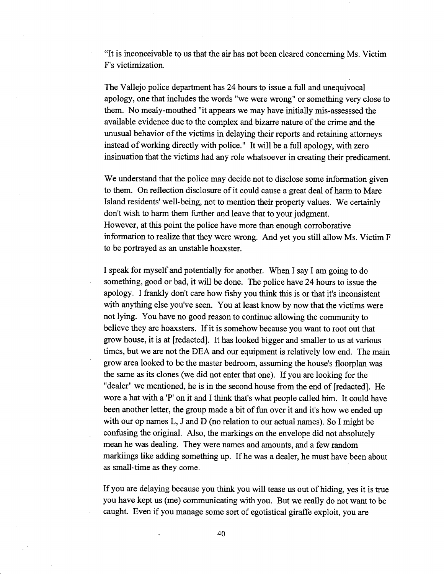"It is inconceivable to us that the air has not been cleared conceming Ms. Victim F's victimization.

The Vallejo police department has 24 hours to issue a full and unequivocal apology, one that includes the words "we were wrong" or something very close to them. No mealy-mouthed "it appears we may have initially mis-assesssed the available evidence due to the complex and bizarre nature of the crime and the unusual behavior of the victims in delaying their reports and retaining attorneys instead of working directly with police." It will be a full apology, with zero insinuation that the victims had any role whatsoever in creating their predicament.

We understand that the police may decide not to disclose some information given to them. On reflection disclosure of it could cause a great deal of harm to Mare Island residents' well-being, not to mention their property values. We certainly don't wish to harm them further and leave that to your judgment. However, at this point the police have more than enough corroborative information to realize that they were wrong. And yet you still allow Ms. Victim F to be portrayed as an unstable hoaxster.

I speak for myself and potentially for another. When I say I am going to do something, good or bad, it will be done. The police have24 hours to issue the apology. I frankly don't care how fishy you think this is or that it's inconsistent with anything else you've seen. You at least know by now that the victims were not lying. You have no good reason to continue allowing the community to believe they are hoaxsters. If it is somehow because you want to root out that grow house, it is at [redacted]. It has looked bigger and smaller to us at various times, but we are not the DEA and our equipment is relatively low end. The main grow area looked to be the master bedroom, assuming the house's floorplan was the same as its clones (we did not enter that one). If you are looking for the "dealer" we mentioned, he is in the second house from the end of [redacted]. He wore a hat with a 'P' on it and I think that's what people called him. It could have been another letter, the group made a bit of fun over it and it's how we ended up with our op names L, J and D (no relation to our actual names). So I might be confusing the original. Also, the markings on the envelope did not absolutely mean he was dealing. They were names and amounts, and a few random markiings like adding something up. If he was a dealer, he must have been about as small-time as they come.

If you are delaying because you think you will tease us out of hiding, yes it is true you have kept us (me) communicating with you. But we really do not want to be caught. Even if you manage some sort of egotistical giraffe exploit, you are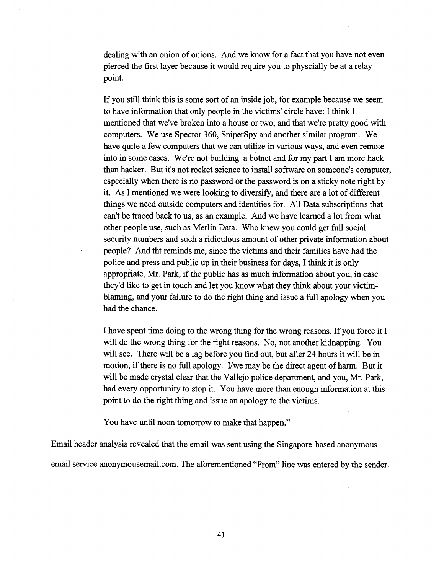dealing with an onion of onions. And we know for a fact that you have not even pierced the first layer because it would require you to physcially be at a relay point.

If you still think this is some sort of an inside job, for example because we seem to have information that only people in the victims'circle have: I think I mentioned that we've broken into a house or two, and that we're pretty good with computers. We use Spector 360, SniperSpy and another similar program. We have quite a few computers that we can utilize in various ways, and even remote into in some cases. We're not building a botret and for my part I am more hack than hacker. But it's not rocket science to install software on someone's computer, especially when there is no password or the password is on a sticky note right by it. As I mentioned we were looking to diversify, and there are a lot of different things we need outside computers and identities for. All Data subscriptions that can't be traced back to us, as an example. And we have learned a lot from what other people use, such as Merlin Data. Who knew you could get full social security numbers and such a ridiculous amount of other private information about people? And tht reminds me, since the victims and their families have had the police and press and public up in their business for days, I think it is only appropriate, Mr. Park, if the public has as much information about you, in case they'd like to get in touch and let you know what they think about your victimblaming, and your failure to do the right thing and issue a full apology when you had the chance.

I have spent time doing to the wrong thing for the wrong reasons. If you force it I will do the wrong thing for the right reasons. No, not another kidnapping. You will see. There will be a lag before you find out, but after 24 hours it will be in motion, if there is no full apology. Vwe may be the direct agent of harm. But it will be made crystal clear that the Vallejo police department, and you, Mr. Park, had every opportunity to stop it. You have more than enough information at this point to do the right thing and issue an apology to the victims.

You have until noon tomorrow to make that happen."

Email header analysis revealed that the email was sent using the Singapore-based anonymous email service anonymousemail.com. The aforementioned "From" line was entered by the sender.

4l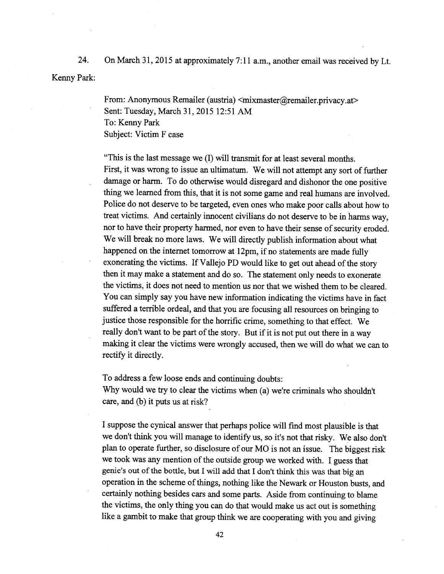24. On March 31, 2015 at approximately 7:11 a.m., another email was received by Lt.

Kenny Park:

From: Anonymous Remailer (austria) <mixmaster@remailer.privacy.at> Sent: Tuesday, March 31, 2015 12:51 AM To: Kenny Park Subject: Victim F case

"This is the last message we (I) will transmit for at least several months. First, it was wrong to issue an ultimatum. We will not attempt any sort of further damage or harm. To do otherwise would disregard and dishonor the one positive thing we leamed from this, that it is not some game and real humans are involved. Police do not deserve to be targeted, even ones who make poor calls about how to treat victims. And certainly innocent civilians do not deserve to be in harms way, nor to have their property harmed, nor even to have their sense of security eroded. We will break no more laws. We will directly publish information about what happened on the internet tomorrow at 12pm, if no statements are made fully exonerating the victims. If Vallejo PD would like to get out ahead of the story then it may make a statement and do so. The statement only needs to exonerate the victims, it does not need to mention us nor that we wished them to be cleared. You can simply say you have new information indicating the victims have in fact suffered a terrible ordeal, and that you are focusing all resources on bringing to justice those responsible for the horrific crime, something to that effect. we really don't want to be part of the story. But if it is not put out there in a way making it clear the victims were wrongly accused, then we will do what we can to rectify it directly.

To address a few loose ends and continuing doubts:

Why would we try to clear the victims when (a) we're criminals who shouldn't care, and (b) it puts us at risk?\_

I suppose the cynical answer that perhaps police witl find most plausible is that we don't think you will manage to identify us, so it's not that risky. We also don't plan to operate further, so disclosure of our MO is not an issue. The biggest risk we took was any mention of the outside group we worked with. I guess that genie's out of the bottle, but I will add that I don't think this was that big an operation in the scheme of things, nothing like the Newark or Houston busts, and certainly nothing besides cars and some parts. Aside from continuing to blame the victims, the only thing you can do that would make us act out is something like a gambit to make that group think we are cooperating with you and giving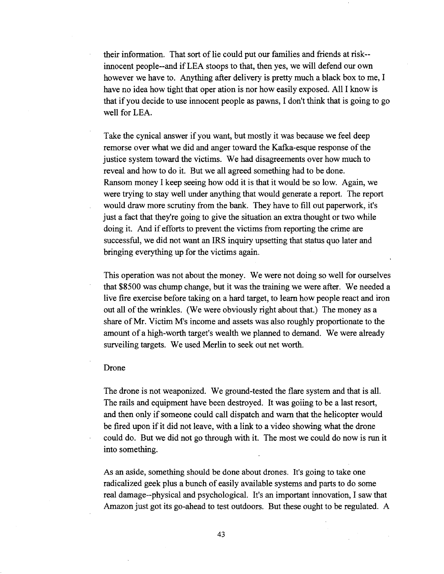their information. That sort of lie could put our families and friends at risk- innocent people--and if LEA stoops to that, then yes, we will defend our own however we have to. Anything after delivery is pretty much a black box to me, I have no idea how tight that oper ation is nor how easily exposed. All I know is that if you decide to use innocent people as pawns, I don't think that is going to go well for LEA.

Take the cynical answer if you want, but mostly it was because we feel deep remorse over what we did and anger toward the Kafka-esque response of the justice system toward the victims. We had disagreements over how much to reveal and how to do it. But we all agreed something had to be done. Ransom money I keep seeing how odd it is that it would be so low. Again, we were trying to stay well under anything that would generate a report. The report would draw more scrutiny from the bank. They have to fill out paperwork, it's just a fact that they're going to give the situation an exta thought or two while doing it. And if efforts to prevent the victims from reporting the crime are successful, we did not want an IRS inquiry upsetting that status quo later and bringing everything up for the victims again.

This operation was not about the money. We were not doing so well for ourselves that \$8500 was chump change, but it was the training we were after. We needed a live fire exercise before taking on a hard target, to leam how people react and iron out all of the wrinkles. (We were obviously right about that.) The money as a share of Mr. Victim M's income and assets was also roughly proportionate to the amount of a high-worth target's wealth we planned to demand. We were already surveiling targets. We used Merlin to seek out net worth.

#### Drone

The drone is not weaponized. We ground-tested the flare system and that is all. The rails and equipment have been destroyed. It was goiing to be a last resort, and then only if someone could call dispatch and warn that the helicopter would be fired upon if it did not leave, with a link to a video showing what the drone could do. But we did not go through with it. The most we could do now is run it into something.

As an aside, something should be done about drones. It's going to take one radicalized geek plus a bunch of easily available systems and parts to do some real damage-physical and psychological. It's an important innovation, I saw that Amazon just got its go-ahead to test outdoors. But these ought to be regulated. A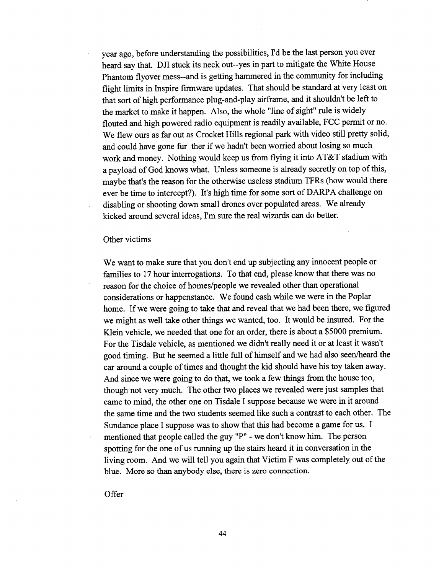year ago, before understanding the possibilities, I'd be the last person you ever heard say that. DJI stuck its neck out--yes in part to mitigate the White House Phantom flyover mess--and is getting hammered in the community for including flight limits in Inspire firmware updates. That should be standard at very least on that sort of high performance plug-and-play airframe, and it shouldn't be left to the market to make it happen. Also, the whole "line of sight" rule is widely flouted and high powered radio equipment is readily available, FCC permit or no. We flew ours as far out as Crocket Hills regional park with video still pretty solid, and could have gone fur ther if we hadn't been worried about losing so much work and money. Nothing would keep us from flying it into AT&T stadium with a payload of God knows what. Unless someone is already secretly on top of this, maybe that's the reason for the otherwise useless stadium TFRs (how would there ever be time to intercept?). It's high time for some sort of DARPA challenge on disabling or shooting down small drones over populated areas. We already kicked around several ideas, I'm sure the real wizards can do better.

#### Other victims

We want to make sure that you don't end up subjecting any innocent people or families to 17 hour interrogations. To that end, please know that there was no reason for the choice of homes/people we revealed other than operational considerations or happenstance. We found cash while we were in the Poplar home. If we were going to take that and reveal that we had been there; we figured we might as well take other things we wanted, too. It would be insured. For the Klein vehicle, we needed that one for an order, there is about a \$5000 premium. For the Tisdale vehicle, as mentioned we didn't really need it or at least it wasn't good timing. But he seemed a little full of himself and we had also seen/heard the car around a couple of times and thought the kid should have his toy taken away. And since we were going to do that, we took a few things from the house too, though not very much. The other two places we revealed were just samples that came to mind, the other one on Tisdale I suppose because we were in it around the same time and the two students seemed like such a contast to each other. The Sundance place I suppose was to show that this had become a game for us. I mentioned that people called the guy  $P'' -$  we don't know him. The person spotting for the one of us running up the stairs heard it in conversation in the living room. And we will tell you again that Victim F was completely out of the blue. More so than anybody else, there is zero connection.

Offer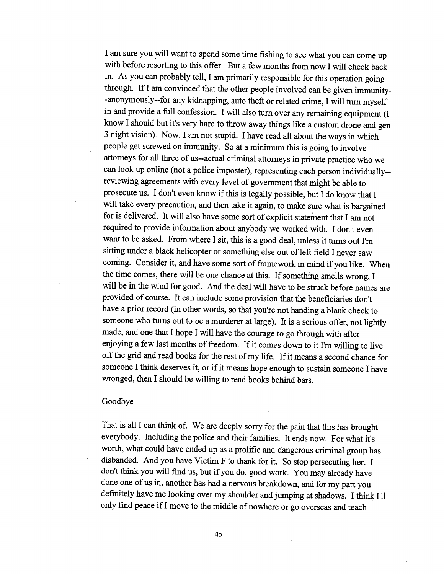I am sure you will want to spend some time fishing to see what you can come up with before resorting to this offer. But a few months from now I will check back in. As you can probably tell, I am primarily responsible for this operation going through. If I am convinced that the other people involved can be given immunity- -anonymously--for any kidnapping, auto theft or related crime, I will turn myself in and provide a full confession. I will also turn over any remaining equipment (I know I should but it's very hard to throw away things like a custom drone and gen <sup>3</sup>night vision). Now, I am not stupid. I have read all about the ways in which people get screwed on immunity. So at a minimum this is going to involve attorneys for all three of us--actual criminal attorneys in private practice who we can look up online (not a police imposter), representing each person individually- reviewing agreements with every level of government that might be able to prosecute us. I don't even know if this is legally possible, but I do know that I will take every precaution, and then take it again, to make sure what is bargained for is delivered. It will also have some sort of explicit statement that I am not required to provide information about anybody we worked with. I don't even want to be asked. From where I sit, this is a good deal, unless it turns out I'm sitting under a black helicopter or something else out of left field I never saw coming. Consider it, and have some sort of framework in mind if you like. When the time comes, there will be one chance at this. If something smells wrong, I will be in the wind for good. And the deal will have to be struck before names are provided of course. It can include some provision that the beneficiaries don't have a prior record (in other words, so that you're not handing a blank check to someone who tums out to be a murderer at large). It is a serious offer, not lightly made, and one that I hope I will have the courage to go through with after enjoying a few last months of freedom. If it comes down to it I'm willing to live offthe grid and read books for the rest of my life. If it means a second chance for someone I think deserves it, or if it means hope enough to sustain someone I have wronged, then I should be willing to read books behind bars.

#### Goodbye

That is all I can think of. We are deeply sorry for the pain that this has brought everybody. Including the police and their families. It ends now. For what it's worth, what could have ended up as a prolific and dangerous criminal group has disbanded. And you have victim F to thank for it. So stop persecuting her. I don't think you will find us, but if you do, good work. you may already have done one of us in, another has had a nervous breakdown, and for my part you definitely have me looking over my shoulder and jumping at shadows. I think I'll only find peace if I move to the middle of nowhere or go overseas and teach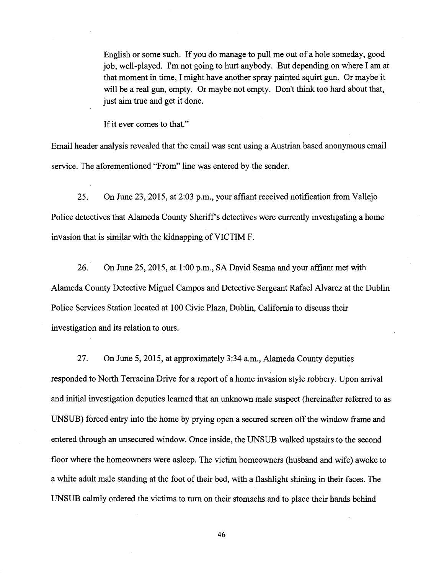English or some such. If you do manage to pull me out of a hole someday, good job, well-played. I'm not going to hurt anybody. But depending on where I am at that moment in time, I might have another spray painted squirt gun. Or maybe it will be a real gun, empty. Or maybe not empty. Don't think too hard about that, just aim true and get it done.

If it ever comes to that."

Email header analysis revealed that the email was sent using a Austrian based anonymous email service. The aforementioned "From" line was entered by the sender.

25. On June 23, 2015, at 2:03 p.m., your affiant received notification from Vallejo Police detectives that Alameda County Sheriff's detectives were currently investigating a home invasion that is similar with the kidnapping of VICTIM F.

26. On June 25,2015, at l:00 p.m., SA David Sesma and your affiant met with Alameda County Detective Miguel Campos and Detective Sergeant Rafael Alvarez at the Dublin Police Services Station located at 100 Civic Plaza, Dublin, California to discuss their investigation and its relation to ours.

27. On June 5,2015, at approximately 3:34 a.m., Alameda County deputies responded to North Terracina Drive for a report of a home invasion style robbery. Upon arrival and initial investigation deputies learned that an unknown male suspect (hereinafter referred to as UNSUB) forced entry into the home by prying open a secured screen off the window frame and entered through an unsecured window. Once inside, the UNSUB walked upstairs to the second floor where the homeowners were asleep. The victim homeowners (husband and wife) awoke to a white adult male standing at the foot of their bed, with a flashlight shining in their faces. The UNSUB calmly ordered the victims to tum on their stomachs and to place their hands behind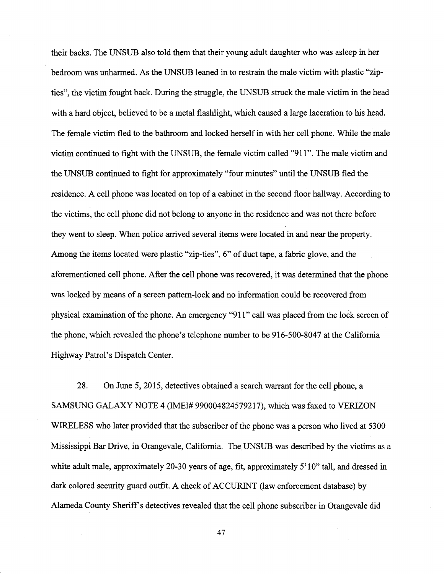their backs. The UNSUB also told them that their young adult daughter who was asleep in her bedroom was unharmed. As the UNSUB leaned in to restrain the male victim with plastic "zipties", the victim fought back. During the struggle, the UNSUB struck the male victim in the head with a hard object, believed to be a metal flashlight, which caused a large laceration to his head. The female victim fled to the bathroom and locked herself in with her cell phone. While the male victim continued to fight with the UNSUB, the female victim called "911". The male victim and the UNSUB continued to fight for approximately "four minutes" until the UNSUB fled the residence. A cell phone was located on top of a cabinet in the second floor hallway. According to the victims, the cell phone did not belong to anyone in the residence and was not there before they went to sleep. When police arrived several items were located in and near the property. Among the items located were plastic "zip-ties", 6" of duct tape, a fabric glove, and the aforementioned cell phone. After the cell phone was recovered, it was determined that the phone was locked by means of a screen pattem-lock and no information could be recovered from physical examination of the phone. An emergency "9l l" call was placed from the lock screen of the phone, which revealed the phone's telephone number to be 916-500-8047 at the California Highway Patrol's Dispatch Center.

28. On June 5,2015, detectives obtained a search warrant for the cell phone, <sup>a</sup> SAMSUNG GALAXY NOTE 4 (IMEI# 990004824579217), which was faxed to VERIZON WIRELESS who later provided that the subscriber of the phone was a person who lived at 5300 Mississippi Bar Drive, in Orangevale, California. The UNSUB was described by the victims as a white adult male, approximately 20-30 years of age, fit, approximately 5'10" tall, and dressed in dark colored security guard outfit. A check of ACCURINT (law enforcement database) by Alameda County Sheriff's detectives revealed that the cell phone subscriber in Orangevale did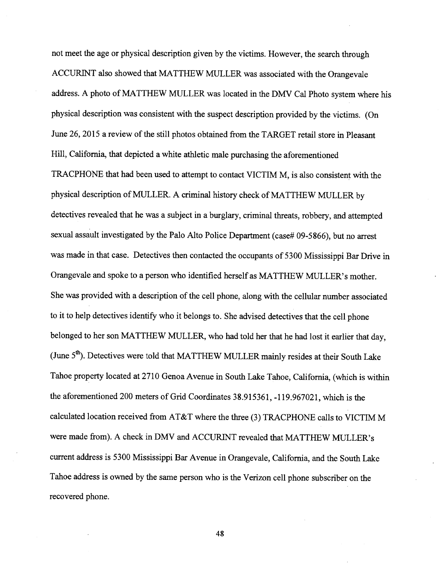not meet the age or physical description given by the victims. However, the search through ACCURINT also showed that MATTTIEW MULLER was associated with the Orangevale address. A photo of MATTHEW MULLER was located in the DMV Cal Photo system where his physical description was consistent with the suspect description provided by the victims. (On June 26, 2015 a review of the still photos obtained from the TARGET retail store in Pleasant Hill, California, that depicted a white athletic male purchasing the aforementioned TRACPHONE that had been used to attempt to contact VICTIM M, is also consistent with the physical description of MULLER. A criminal history check of MATTHEW MULLER by detectives revealed that he was a subject in a burglary, criminal threats, robbery, and attempted sexual assault investigated by the Palo Alto Police Department (case# 09-5866), but no arrest was made in that case. Detectives then contacted the occupants of 5300 Mississippi Bar Drive in Orangevale and spoke to a person who identified herself as MATTHEW MULLER's mother. She was provided with a description of the cell phone, along with the cellular number associated to it to help detectives identify who it belongs to. She advised detectives that the cell phone belonged to her son MATTHEW MULLER, who had told her that he had lost it earlier that day, (June  $5<sup>th</sup>$ ). Detectives were told that MATTHEW MULLER mainly resides at their South Lake Tahoe property located at 2710 Genoa Avenue in South Lake Tahoe, California, (which is within the aforementioned 200 meters of Grid Coordinates 38.915361, -119.967021, which is the calculated location received from AT&T where the three (3) TRACPHONE calls to VICTIM M were made from). A check in DMV and ACCURINT revealed that MATTHEW MULLER's current address is 5300 Mississippi Bar Avenue in Orangevale, California, and the South Lake Tahoe address is owned by the same person who is the Verizon cell phone subscriber on the recovered phone.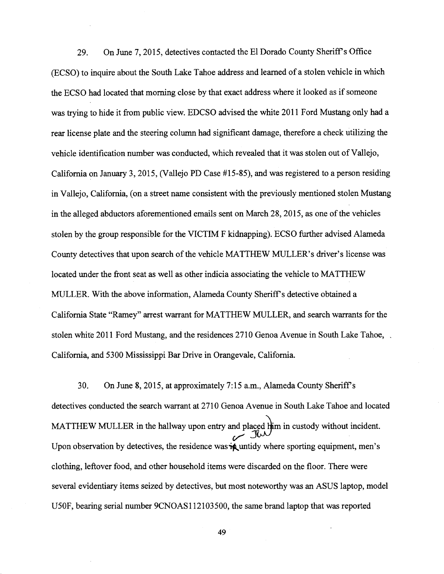29. On June 7, 2015, detectives contacted the El Dorado County Sheriff's Office (ECSO) to inquire about the South Lake Tahoe address and learned of a stolen vehicle in which the ECSO had located that moming close by that exact address where it looked as if someone was trying to hide it from public view. EDCSO advised the white 2011 Ford Mustang only had a rear license plate and the steering column had significant damage, therefore a check utilizing the vehicle identification number was conducted, which revealed that it was stolen out of Vallejo, California on January 3,2015, (Vallejo PD Case #15-85), and was registered to aperson residing in Vallejo, California, (on a street name consistent with the previously mentioned stolen Mustang in the alleged abductors aforementioned emails sent on March 28, 2015, as one of the vehicles stolen by the goup responsible for the VICTIM F kidnapping). ECSO further advised Alameda County detectives that upon search of the vehicle MATTIIEW MULLER's driver's license was located under the front seat as well as other indicia associating the vehicle to MATTHEW MULLER. With the above information, Alameda County Sheriff's detective obtained a Califomia State "Ramey" arrest warrant for MATTHEW MULLER, and search warrants for the stolen white 2011 Ford Mustang, and the residences 2710 Genoa Avenue in South Lake Tahoe, Califomia, and 5300 Mississippi Bar Drive in Orangevale, California.

30. On June 8,2015, at approximately 7:15 a.m., Alameda County Sheriff <sup>s</sup> detectives conducted the search warrant at27l0 Genoa Avenue in South Lake Tahoe and located MATTHEW MULLER in the hallway upon entry and placed  $\lim_{\omega}$  in custody without incident.<br>Upon observation by detectives, the residence was  $\lim_{\omega}$  untidy where sporting equipment, men's clothing, leftover food, and other household items were discarded on the floor. There were several evidentiary items seized by detectives, but most noteworthy was an ASUS laptop, model U50F, bearing serial number 9CNOASl12103500, the same brand laptop that was reported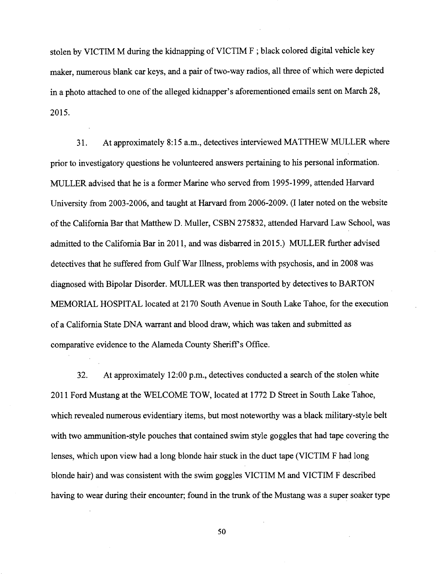stolen by VICTIM M during the kidnapping of VICTIM F ; black colored digital vehicle key maker, numerous blank car keys, and a pair of two-way radios, all three of which were depicted in a photo attached to one of the alleged kidnapper's aforementioned emails sent on March 28, 2015.

31. At approximately 8:15 a.m., detectives interviewed MATTHEW MULLER where prior to investigatory questions he volunteered answers pertaining to his personal information. MULLER advised that he is a former Marine who served from 1995-1999, attended Harvard University from 2003-2006, and taught at Harvard from 2006-2009. (I later noted on the website of the California Bar that Matthew D. Muller, CSBN 275832, attended Harvard Law School, was admitted to the Califomia Bar in 2011, and was disbarred in 2015.) MULLER further advised detectives that he suffered from Gulf War Illness, problems with psychosis, and in 2008 was diagnosed with Bipolar Disorder. MULLER was then transported by detectives to BARTON MEMORIAL HOSPITAL located at 2170 South Avenue in South Lake Tahoe, for the execution of a California State DNA warrant and blood draw, which was taken and submitted as comparative evidence to the Alameda County Sheriff's Office.

32. At approximately l2:00 p.m., detectives conducted a search of the stolen white 2011 Ford Mustang at the WELCOME TOW, located at 1772D Street in South Lake Tahoe, which revealed numerous evidentiary items, but most noteworthy was a black military-style belt with two ammunition-style pouches that contained swim style goggles that had tape covering the lenses, which upon view had a long blonde hair stuck in the duct tape (VICTIM F had long blonde hair) and was consistent with the swim goggles VICTIM M and VICTIM F described having to wear during their encounter; found in the trunk of the Mustang was a super soaker type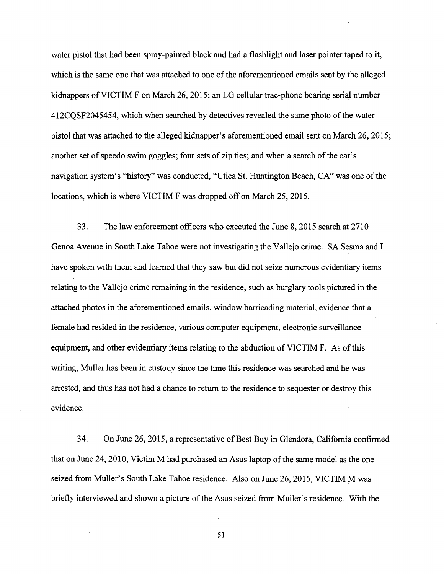water pistol that had been spray-painted black and had a flashlight and laser pointer taped to it, which is the same one that was attached to one of the aforementioned emails sent by the alleged kidnappers of VICTIM F on March 26,2015; an LG cellular trac-phone bearing serial number 412CQSF2045454, which when searched by detectives revealed the same photo of the water pistol that was attached to the alleged kidnapper's aforementioned email sent on March 26,2015; another set of speedo swim goggles; four sets of zip ties; and when a search of the car's navigation system's "history" was conducted, "Utica St. Huntington Beach, CA" was one of the locations, which is where VICTIM F was dropped off on March 25, 2015.

33. The law enforcement officers who executed the June 8, 2015 search at 2710 Genoa Avenue in South Lake Tahoe were not investigating the Vallejo crime. SA Sesma and I have spoken with them and learned that they saw but did not seize numerous evidentiary items relating to the Vallejo crime remaining in the residence, such as burglary tools pictured in the attached photos in the aforementioned emails, window barricading material, evidence that a female had resided in the residence, various computer equipment, electronic surveillance equipment, and other evidentiary items relating to the abduction of VICTIM F. As of this writing, Muller has been in custody since the time this residence was searched and he was arrested, and thus has not had a chance to return to the residence to sequester or destroy this evidence.

34. On June 26,2015, a representative of Best Buy in Glendora, Califomia confirmed that on June 24, 2010, Victim M had purchased an Asus laptop of the same model as the one seized from Muller's South Lake Tahoe residence. Also on June 26,2015, VICTIM M was briefly interviewed and shown a picture of the Asus seized from Muller's residence. With the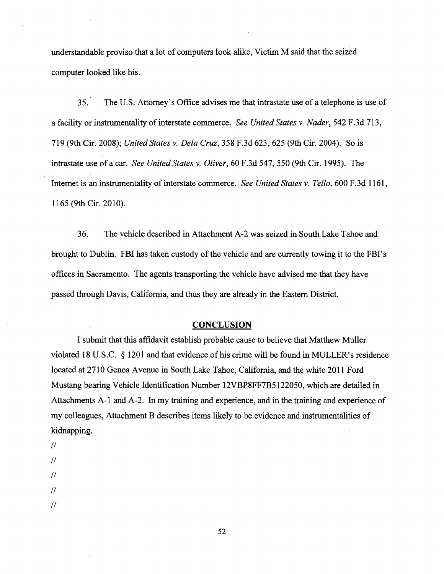understandable proviso that a lot of computers look alike, Victim M said that the seized computer looked like his.

35. The U.S. Attorney's Office advises me that intrastate use of a telephone is use of a facility or instrumentality of interstate commerce. See United States v. Nader, 542 F.3d 713, 719 (9th Cir. 2008); United States v. Dela Cruz, 358 F.3d 623, 625 (9th Cir. 2004). So is intrastate use of a car. See United States v. Oliver, 60 F.3d 547, 550 (9th Cir. 1995). The Internet is an instrumentality of interstate commerce. See United States v. Tello, 600 F.3d 1161, 1165 (9th Cir. 2010).

36. The vehicle described in Attachment A-2 was seized in South Lake Tahoe and brought to Dublin. FBI has taken custody of the vehicle and are currently towing it to the FBI's offices in Sacramento. The agents transporting the vehicle have advised me that they have passed through Davis, Califomia, and thus they are already in the Eastern District.

#### **CONCLUSION**

I submit that this affidavit establish probable cause to believe that Matthew Muller violated 18 U.S.C. \$ l20l and that evidence of his crime will be found in MULLER's residence located at27l0 Genoa Avenue in South Lake Tahoe, California, and the white 2011 Ford Mustang bearing Vehicle Identification Number 12VBP8FF7BSI22050, which are detailed in Attachments A-1 and A-2. In my training and experience, and in the training and experience of my colleagues, Attachment B describes items likely to be evidence and instrumentalities of kidnapping

- $\frac{1}{2}$
- $\frac{1}{2}$
- $\frac{1}{2}$
- $\frac{1}{2}$
- 
- $\overline{H}$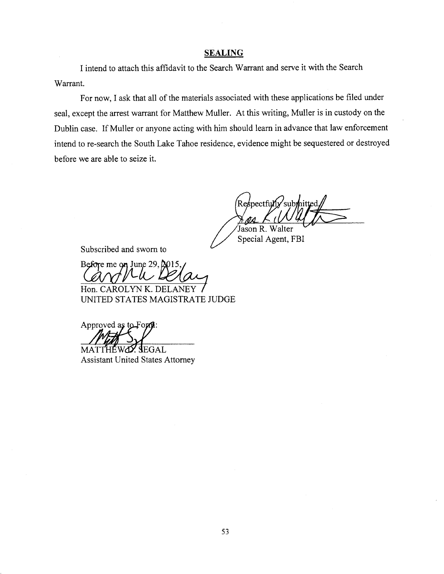### **SEALING**

I intend to attach this affidavit to the Search Warrant and serve it with the Search Warrant.

For now, I ask that all of the materials associated with these applications be filed under seal, except the arrest warrant for Matthew Muller. At this writing, Muller is in custody on the Dublin case. If Muller or anyone acting with him should learn in advance that law enforcement intend to re-search the South Lake Tahoe residence, evidence might be sequestered or destroyed before we are able to seize it.

Respectfully sub Jason R. Walter

Special Agent, FBI

Subscribed and sworn to

Before me on June 29,  $\Delta 015$ 

Hon. CAROLYN K. DELANEY LINITED STATES MAGISTRATE JUDGE

Approved as to Form:

MATTHEWO. SEGAL Assistant United States Attorney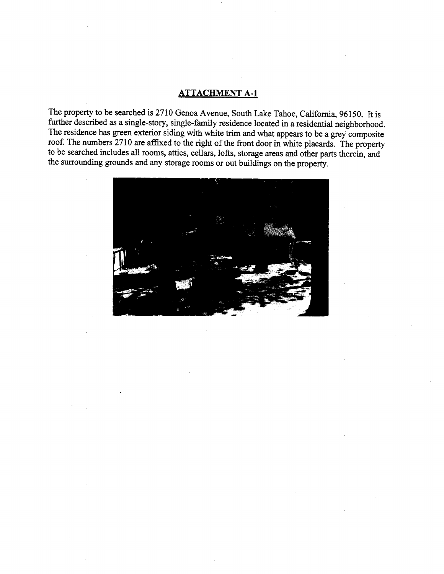# ATTACHMENT A-1

The property to be searched is 2710 Genoa Avenue, South Lake Tahoe, California, 96150. It is further described as a single-story, single-family residence located in a residential neighborhood. The residence has green exterior siding with white trim and what appears to be a grey composite roof. The numbers 2710 are affixed to the right of the front door in white placards. The property to be searched includes all rooms, attics, cellars, lofts, storage areas and other parts therein, and the surrounding grounds and any storage rooms or out buildings on the property.

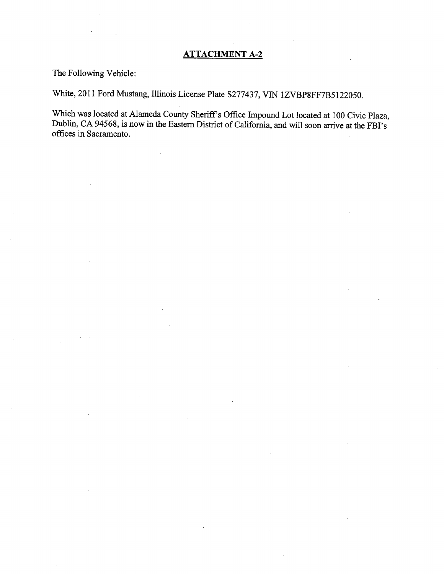### ATTACHMENT A-2

The Following Vehicle:

White, 2011 Ford Mustang, Illinois License Plate S277437, VIN 1ZVBP8FF7B5122050.

Which was located at Alameda County Sheriff's Office Impound Lot located at 100 Civic Plaza, Dublin, CA 94568, is now in the Eastern District of California, and will soon arrive at the FBI's offices in Sacramento.